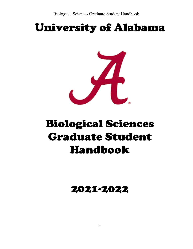# University of Alabama



# Biological Sciences Graduate Student Handbook

## 2021-2022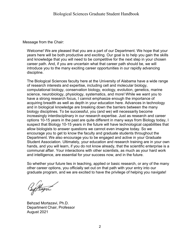Message from the Chair:

Welcome! We are pleased that you are a part of our Department. We hope that your years here will be both productive and exciting. Our goal is to help you gain the skills and knowledge that you will need to be competitive for the next step in your chosen career path. And, if you are uncertain what that career path should be, we will introduce you to the many exciting career opportunities in our rapidly advancing discipline.

The Biological Sciences faculty here at the University of Alabama have a wide range of research interests and expertise, including cell and molecular biology, computational biology, conservation biology, ecology, evolution, genetics, marine science, neurobiology, physiology, systematics, and more! While we want you to have a strong research focus, I cannot emphasize enough the importance of acquiring breadth as well as depth in your education here. Advances in technology and in biological knowledge are breaking down the barriers between the many biology disciplines. To be successful, you (and we) will necessarily become increasingly interdisciplinary in our research expertise. Just as research and career options 10-15 years in the past are quite different in many ways from Biology today, I suspect that Biology 10-15 years in the future will have technological capabilities that allow biologists to answer questions we cannot even imagine today. So we encourage you to get to know the faculty and graduate students throughout the Department. We also encourage you to be engaged and active in your Graduate Student Association. Ultimately, your education and research training are in your own hands, and you will learn, if you do not know already, that the scientific enterprise is a communal affair. Your interactions with other scientists, as much as your hard work and intelligence, are essential for your success now, and in the future.

So whether your future lies in teaching, applied or basic research, or any of the many other career options, you officially set out on that path with your entry into our graduate program, and we are excited to have the privilege of helping you navigate!

Beffloga

Behzad Mortazavi, Ph.D. Department Chair, Professor August 2021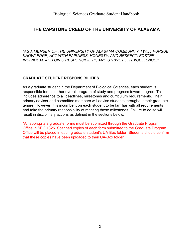#### **THE CAPSTONE CREED OF THE UNIVERSITY OF ALABAMA**

*"AS A MEMBER OF THE UNIVERSITY OF ALABAMA COMMUNITY, I WILL PURSUE KNOWLEDGE; ACT WITH FAIRNESS, HONESTY, AND RESPECT; FOSTER INDIVIDUAL AND CIVIC RESPONSIBILITY; AND STRIVE FOR EXCELLENCE."*

#### **GRADUATE STUDENT RESPONSIBILITIES**

As a graduate student in the Department of Biological Sciences, each student is responsible for his or her overall program of study and progress toward degree. This includes adherence to all deadlines, milestones and curriculum requirements. Their primary advisor and committee members will advise students throughout their graduate tenure. However, it is incumbent on each student to be familiar with all requirements and take the primary responsibility of meeting these milestones. Failure to do so will result in disciplinary actions as defined in the sections below.

\*All appropriate graduate forms must be submitted through the Graduate Program Office in SEC 1325. Scanned copies of each form submitted to the Graduate Program Office will be placed in each graduate student's UA-Box folder. Students should confirm that these copies have been uploaded to their UA-Box folder.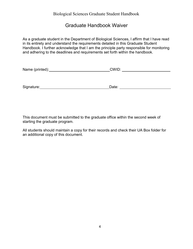#### Graduate Handbook Waiver

As a graduate student in the Department of Biological Sciences, I affirm that I have read in its entirety and understand the requirements detailed in this Graduate Student Handbook. I further acknowledge that I am the principle party responsible for monitoring and adhering to the deadlines and requirements set forth within the handbook.

| Name (printed): | CWID: |  |
|-----------------|-------|--|
|                 |       |  |
|                 |       |  |
| Signature:      | Date: |  |

This document must be submitted to the graduate office within the second week of starting the graduate program.

All students should maintain a copy for their records and check their UA Box folder for an additional copy of this document.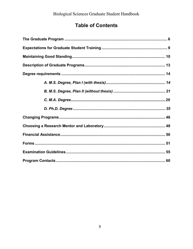### **Table of Contents**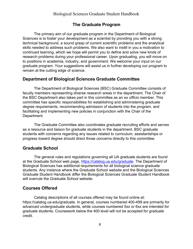#### **The Graduate Program**

<span id="page-5-0"></span>The primary aim of our graduate program in the Department of Biological Sciences is to foster your development as a scientist by providing you with a strong technical background, a sound grasp of current scientific problems and the analytical skills needed to address such problems. We also want to instill in you a motivation to continued learning, which we hope will permit you to define and solve new kinds of research problems during your professional career. Upon graduating, you will move on to positions in academia, industry, and government. We welcome your input on our graduate program. Your suggestions will assist us in further developing our program to remain at the cutting edge of science.

#### **Department of Biological Sciences Graduate Committee**

The Department of Biological Sciences (BSC) Graduate Committee consists of faculty members representing diverse research areas in the department. The Chair of the BSC Department also takes part in this committee as an *ex officio* member*.* This committee has specific responsibilities for establishing and administering graduate degree requirements, recommending admission of students into the program, and facilitating and implementing new policies in conjunction with the Chair of the Department.

The Graduate Committee also coordinates graduate recruiting efforts and serves as a resource and liaison for graduate students in the department. BSC graduate students with concerns regarding any issues related to curriculum, assistantships or progress toward degree should direct those concerns directly to this committee.

#### **Graduate School**

The general rules and regulations governing all UA graduate students are found at the Graduate School web page, [https://catalog.ua.edu/graduate.](https://catalog.ua.edu/graduate) The Department of Biological Sciences has additional requirements for all biological science graduate students. Any instance where the Graduate School website and the Biological Sciences Graduate Student Handbook differ the Biological Sciences Graduate Student Handbook will overrule the Graduate School website.

#### **Courses Offered**

Catalog descriptions of all courses offered may be found online at: https://catalog.ua.edu/graduate. In general, courses numbered 400-499 are primarily for advanced undergraduate students, while courses numbered 5xx or 6xx are intended for graduate students. Coursework below the 400 level will not be accepted for graduate credit.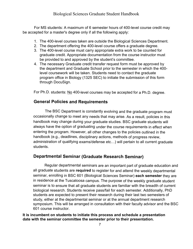#### Biological Sciences Graduate Student Handbook

For MS students: A maximum of 6 semester hours of 400-level course credit may be accepted for a master's degree only if all the following apply:

- 1. The 400-level courses taken are outside the Biological Sciences Department.
- 2. The department offering the 400-level course offers a graduate degree.
- 3. The 400-level course must carry appropriate extra work to be counted for graduate credit. Appropriate documentation from the course instructor must be provided to and approved by the student's committee.
- 4. The necessary Graduate credit transfer request form must be approved by the department and Graduate School prior to the semester in which the 400 level coursework will be taken. Students need to contact the graduate program office in Biology (1325 SEC) to initiate the submission of this form through DocuSign.

For Ph.D. students: No 400-level courses may be accepted for a Ph.D. degree.

#### **General Policies and Requirements**

The BSC Department is constantly evolving and the graduate program must occasionally change to meet any needs that may arise. As a result, policies in this handbook may change during your graduate studies. BSC graduate students will always have the option of graduating under the course requirements in effect when entering the program. However, all other changes to the policies outlined in the handbook (e.g., deadlines, disciplinary actions, methods of progress review, administration of qualifying exams/defense etc…) will pertain to all current graduate students.

#### **Departmental Seminar (Graduate Research Seminar)**

Regular departmental seminars are an important part of graduate education and all graduate students are **required** to register for and attend the weekly departmental seminar, enrolling in BSC 601 (Biological Sciences Seminar) **each semester** they are in residence at the Tuscaloosa campus. The purpose of the weekly graduate student seminar is to ensure that all graduate students are familiar with the breadth of current biological research. Students receive pass/fail for each semester. Additionally, PhD students are expected to present their research during their last two semesters of study, either at the departmental seminar or at the annual department research symposium. This will be arranged in consultation with their faculty advisor and the BSC 601 course instructor.

**It is incumbent on students to initiate this process and schedule a presentation date with the seminar committee the semester prior to their presentation.**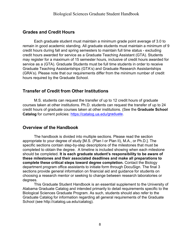#### **Grades and Credit Hours**

Each graduate student must maintain a minimum grade point average of 3.0 to remain in good academic standing. All graduate students must maintain a minimum of 9 credit hours during fall and spring semesters to maintain full time status - excluding credit hours awarded for service as a Graduate Teaching Assistant (GTA). Students may register for a maximum of 15 semester hours, inclusive of credit hours awarded for service as a (GTA). Graduate Students must be full time students in order to receive Graduate Teaching Assistantships (GTA's) and Graduate Research Assistantships (GRA's). Please note that our requirements differ from the minimum number of credit hours required by the Graduate School.

#### **Transfer of Credit from Other Institutions**

M.S. students can request the transfer of up to 12 credit hours of graduate courses taken at other institutions. Ph.D. students can request the transfer of up to 24 credit hours of graduate courses taken at other institutions. (See the **Graduate School Catalog** for current policies: <https://catalog.ua.edu/>graduate.

#### **Overview of the Handbook**

The handbook is divided into multiple sections. Please read the section appropriate to your degree of study [M.S. (Plan I or Plan II), M.A., or Ph.D.]. The specific sections contain step-by-step descriptions of the milestones that must be completed to obtain the degree. A timeline is included showing when each milestone should be completed. **It is each graduate student's responsibility to be aware of these milestones and their associated deadlines and make all preparations to complete these critical steps toward degree completion.** Contact the Biology department program office assistants to initiate form through DocuSign. The final 3 sections provide general information on financial aid and guidance for students on choosing a research mentor or seeking to change between research laboratories or [degrees.](http://bsc.ua.edu/forms-for-graduate-students)

This Graduate Student Handbook is an essential supplement to the University of Alabama Graduate Catalog and intended primarily to detail requirements specific to the Biological Sciences Graduate Program. As such, students should also refer to the Graduate Catalog for information regarding all general requirements of the Graduate School (see [http://catalog.ua.edu/catalog\).](http://catalog.ua.edu/catalog))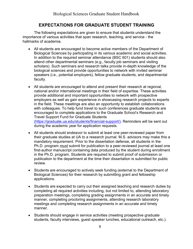#### **EXPECTATIONS FOR GRADUATE STUDENT TRAINING**

<span id="page-8-0"></span>The following expectations are given to ensure that students understand the importance of various activities that span research, teaching, and service - the hallmarks of academia.

- All students are encouraged to become active members of the Department of Biological Sciences by participating in its various academic and social activities. In addition to the required seminar attendance (BSC 601) students should also attend other departmental seminars (e.g., faculty job seminars and visiting scholars). Such seminars and research talks provide in-depth knowledge of the biological sciences and provide opportunities to network with invited seminar speakers (i.e., potential employers), fellow graduate students, and departmental faculty.
- All students are encouraged to attend and present their research at regional, national and/or international meetings in their field of expertise. These activities provide additional and important opportunities to network with prospective employers as well as gain experience in showcasing research projects to experts in the field. These meetings are also an opportunity to establish collaborations with colleagues. To help fund travel to such conferences graduate students are encouraged to complete applications to the Graduate School's Research and Travel Support Fund for Graduate Students (https://graduate.ua.edu/students/financial-support/). Reminders will be sent out during the academic year for application requests.
- All students should endeavor to submit at least one peer-reviewed paper from their graduate studies at UA to a research journal. M.S. advisors may make this a mandatory requirement. Prior to the dissertation defense, all students in the Ph.D. program *must* submit for publication to a peer-reviewed journal at least one first-author manuscript containing data produced by the student during enrollment in the Ph.D. program. Students are required to submit proof of submission or publication to the department at the time their dissertation is submitted for public review.
- Students are encouraged to actively seek funding (external to the Department of Biological Sciences) for their research by submitting grant and fellowship applications.
- Students are expected to carry out their assigned teaching and research duties by completing all required activities including, but not limited to, attending laboratory preparation meetings, completing grading assignments in an accurate and timely manner, completing proctoring assignments, attending research laboratory meetings and completing research assignments in an accurate and timely manner.
- Students should engage in service activities (meeting prospective graduate students, faculty interviews, guest speaker lunches, educational outreach, etc.).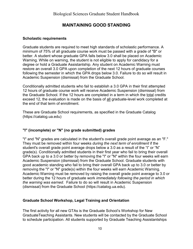#### **MAINTAINING GOOD STANDING**

#### <span id="page-9-0"></span>**Scholastic requirements**

Graduate students are required to meet high standards of scholastic performance. A minimum of 75% of all graduate course work must be passed with a grade of "B" or better. A student whose graduate GPA falls below 3.0 shall be placed on Academic Warning. While on warning, the student is not eligible to apply for candidacy for a degree or hold a Graduate Assistantship. Any student on Academic Warning must restore an overall 3.0 GPA upon completion of the next 12 hours of graduate courses following the semester in which the GPA drops below 3.0. Failure to do so will result in Academic Suspension (dismissal) from the Graduate School.

Conditionally admitted students who fail to establish a 3.0 GPA in their first attempted 12 hours of graduate course work will receive Academic Suspension (dismissal) from the Graduate School. If the 12 hours are completed in a term in which the total credits exceed 12, the evaluation is made on the basis of all graduate-level work completed at the end of that term of enrollment.

These are Graduate School requirements, as specified in the Graduate Catalog (https://catalog.ua.edu)

#### **"I" (incomplete) or "N" (no grade submitted) grades**

"I" and "N" grades are calculated in the student's overall grade point average as an "F." They must be removed within four weeks *during the next term of enrollment* if the student's overall grade point average drops below a 3.0 as a result of the "I" or "N" grade(s). Conditionally admitted students in their first year who fail to bring their overall GPA back up to a 3.0 or better by removing the "I" or "N" within the four weeks will earn Academic Suspension (dismissal) from the Graduate School. Graduate students with good academic standing who fail to bring their overall GPA back up to 3.0 or better by removing the "I" or "N" grade(s) within the four weeks will earn Academic Warning. Academic Warning must be removed by raising the overall grade point average to 3.0 or better during the 12 hours of graduate work *immediately following the period in which the warning was earned*. Failure to do so will result in Academic Suspension (dismissal) from the Graduate School (https://catalog.ua.edu).

#### **Graduate School Workshop, Legal Training and Orientation**

The first activity for all new GTAs is the Graduate School's Workshop for New GraduateTeaching Assistants. New students will be contacted by the Graduate School to schedule participation. All students supported by Graduate Teaching Assistantships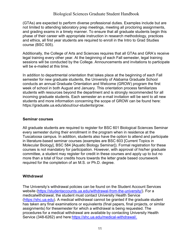(GTAs) are expected to perform diverse professional duties. Examples include but are not limited to attending laboratory prep meetings, meeting all proctoring assignments, and grading exams in a timely manner. To ensure that all graduate students begin this phase of their career with appropriate instruction in research methodology, practices and ethics, all first year students are required to enroll in the Intro to Grad Studies course (BSC 505).

Additionally, the College of Arts and Sciences requires that all GTAs and GRA's receive legal training every other year. At the beginning of each Fall semester, legal training sessions will be conducted by the College. Announcements and invitations to participate will be e-mailed at this time.

In addition to departmental orientation that takes place at the beginning of each Fall semester for new graduate students, the University of Alabama Graduate School conducts an annual Graduate Orientation and Welcome (GROW) program the first week of school in both August and January. This orientation process familiarizes students with resources beyond the department and is strongly recommended for all incoming graduate students. Each semester an e-mail invitation will be sent to all new students and more information concerning the scope of GROW can be found here: https://graduate.ua.edu/about/our-students/grow.

#### **Seminar courses**

All graduate students are required to register for BSC 601 Biological Sciences Seminar every semester during their enrollment in the program when in residence at the Tuscaloosa campus. In addition, students also have the option to attend and participate in literature-based seminar courses (examples are BSC 603 [Current Topics in Molecular Biology], BSC 584 [Aquatic Biology Seminar]). Formal registration for these courses is not mandatory for participation. However, with approval of his/her graduate committee, a student may register for credit in these courses and apply up to but no more than a total of four credits hours towards the letter grade based coursework required for the completion of an M.S. or Ph.D. degree.

#### **Withdrawal**

The University's withdrawal policies can be found on the Student Account Services website [\(https://studentaccounts.ua.edu/withdrawal-from-the-university/\)](https://studentaccounts.ua.edu/withdrawal-from-the-university/). For a medicalwithdrawal, the student must contact University Health Service [\(https://shc.ua.edu\)](https://shc.ua.edu/). A medical withdrawal cannot be granted if the graduate student has taken any final examinations or equivalents (final papers, final projects, or similar assignments) for thesemester for which a withdrawal is being requested. The procedures for a medical withdrawal are available by contacting University Health Service (348-6262) and here[:https://shc.ua.edu/medical-withdrawal/.](https://shc.ua.edu/medical-withdrawal/)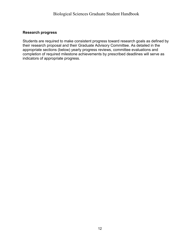#### **Research progress**

Students are required to make consistent progress toward research goals as defined by their research proposal and their Graduate Advisory Committee. As detailed in the appropriate sections (below) yearly progress reviews, committee evaluations and completion of required milestone achievements by prescribed deadlines will serve as indicators of appropriate progress.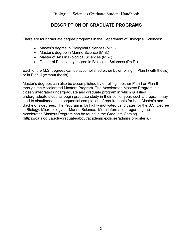#### **DESCRIPTION OF GRADUATE PROGRAMS**

<span id="page-12-0"></span>There are four graduate degree programs in the Department of Biological Sciences:

- Master's degree in Biological Sciences (M.S.)
- Master's degree in Marine Science (M.S.)
- Master of Arts in Biological Sciences (M.A.)
- Doctor of Philosophy degree in Biological Sciences (Ph.D.)

Each of the M.S. degrees can be accomplished either by enrolling in Plan I (with thesis) or in Plan II (without thesis).

Master's degrees can also be accomplished by enrolling in either Plan I or Plan II through the Accelerated Masters Program. The Accelerated Masters Program is a closely integrated undergraduate and graduate program in which qualified undergraduate students begin graduate study in their senior year; such a program may lead to simultaneous or sequential completion of requirements for both Master's and Bachelor's degrees. The Program is for highly motivated candidates for the B.S. Degree in Biology, Microbiology, or Marine Science. More information regarding the Accelerated Masters Program can be found in the Graduate Catalog (https://catalog.ua.edu/graduate/about/academic-policies/admission-criteria/).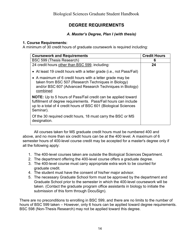#### **DEGREE REQUIREMENTS**

#### *A. Master's Degree, Plan I (with thesis)*

#### <span id="page-13-0"></span>**1. Course Requirements:**

A minimum of 30 credit hours of graduate coursework is required including:

| <b>Coursework and Requirements</b>                                                                                                                                                                                      | <b>Credit Hours</b> |
|-------------------------------------------------------------------------------------------------------------------------------------------------------------------------------------------------------------------------|---------------------|
| BSC 599 (Thesis Research)                                                                                                                                                                                               | 6                   |
| 24 credit hours other than BSC 599, including:                                                                                                                                                                          | 24                  |
| • At least 19 credit hours with a letter grade (i.e., not Pass/Fail)                                                                                                                                                    |                     |
| • A maximum of 6 credit hours with a letter grade may be<br>taken from BSC 507 (Research Techniques in Biology)<br>and/or BSC 607 (Advanced Research Techniques in Biology)<br>combined                                 |                     |
| <b>NOTE:</b> Up to 5 hours of Pass/Fail credit can be applied toward<br>fulfillment of degree requirements. Pass/Fail hours can include<br>up to a total of 4 credit hours of BSC 601 (Biological Sciences<br>Seminar). |                     |
| Of the 30 required credit hours, 18 must carry the BSC or MS<br>designation.                                                                                                                                            |                     |

All courses taken for MS graduate credit hours must be numbered 400 and above, and no more than six credit hours can be at the 400 level. A maximum of 6 semester hours of 400-level course credit may be accepted for a master's degree only if all the following apply:

- 1. The 400-level courses taken are outside the Biological Sciences Department.
- 2. The department offering the 400-level course offers a graduate degree.
- 3. The 400-level course must carry appropriate extra work to be counted for graduate credit.
- 4. The student must have the consent of his/her major advisor.
- 5. The necessary Graduate School form must be approved by the department and Graduate School prior to the semester in which the 400-level coursework will be taken. (Contact the graduate program office assistants in biology to initiate the submission of this form through DocuSign).

There are no preconditions to enrolling in BSC 599, and there are no limits to the number of hours of BSC 599 taken – However, only 6 hours can be applied toward degree requirements. BSC 598 (Non-Thesis Research) may not be applied toward this degree.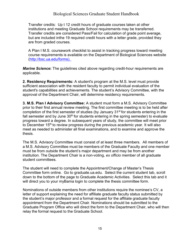Transfer credits: Up t 12 credit hours of graduate courses taken at other institutions and meeting Graduate School requirements may be transferred. Transfer credits are considered Pass/Fail for calculation of grade point average, but are included inthe 19 required credit hours with a letter grade, provided they are from graded courses.

A Plan I M.S. coursework checklist to assist in tracking progress toward meeting course requirements is available on the Department of Biological Sciences website [\(http://bsc.ua.edu/forms\).](http://bsc.ua.edu/forms).) 

*Marine Science***:** The guidelines cited above regarding credit-hour requirements are applicable.

**2. Residency Requirements:** A student's program at the M.S. level must provide sufficient association with the resident faculty to permit individual evaluation of the student's capabilities and achievements. The student's Advisory Committee, with the approval of the Department Chair, will determine residency requirements.

**3. M.S. Plan I Advisory Committee:** A student must form a M.S. Advisory Committee prior to their first annual review meeting. The first committee meeting is to be held after completion of the first semester of studies (by January 31<sup>st</sup> for students entering in the fall semester and by June  $30<sup>th</sup>$  for students entering in the spring semester) to evaluate progress toward a degree. In subsequent years of study, the committee will meet prior to December 15<sup>th</sup> to review progress during the previous academic year. It will also meet as needed to administer all final examinations, and to examine and approve the thesis.

The M.S. Advisory Committee must consist of at least three members. All members of a M.S. Advisory Committee must be members of the Graduate Faculty and one member must be from outside the student's major department and may be from another institution. The Department Chair is a non-voting, *ex officio* member of all graduate student committees.

The student will need to complete the Appointment/Change of Master's Thesis Committee form online. Go to graduate.ua.edu. Select the current student tab, scroll down to the bottom of the page to Graduate Academic Activities. Select this tab and it will direct you to your myBama login to complete the thesis committee form.

letter of support explaining the need for affiliate graduate faculty status submitted by the student's major professor and a formal request for the affiliate graduate faculty appointment from the Department Chair. Nominations should be submitted to the Graduate Program Office who will direct the form to the Department Chair, who will then relay the formal request to the Graduate School. Nominations of outside members from other institutions require the nominee's CV, a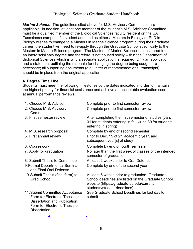necessary; all supporting documents (e.g., letter of recommendations, transcripts) *Marine Science***:** The guidelines cited above for M.S. Advisory Committees are applicable. In addition, at least one member of the student's M.S. Advisory Committee must be a qualified member of the Biological Sciences faculty resident on the UA Tuscaloosa campus. If a student admitted as either a Masters in Biology or PhD in Biology wishes to change to a Masters in Marine Science program during their graduate career, the student will need to re-apply through the Graduate School specifically to the Masters in Marine Science program. The Masters of Marine Science is considered to be an interdisciplinary degree and therefore is not housed solely within the Department of Biological Sciences which is why a separate application is required. Only an application and a statement outlining the rationale for changing the degree being sought are should be in place from the original application.

#### **4. Degree Time Line:**

.

Students must meet the following milestones by the dates indicated in order to maintain the highest priority for financial assistance and achieve an acceptable evaluation score at annual performance reviews.

| 1. Choose M.S. Advisor                                                                                                                                          | Complete prior to first semester review                                                                                                                                          |
|-----------------------------------------------------------------------------------------------------------------------------------------------------------------|----------------------------------------------------------------------------------------------------------------------------------------------------------------------------------|
| 2. Choose M.S. Advisory<br>Committee                                                                                                                            | Complete prior to first semester review                                                                                                                                          |
| 3. First semester review                                                                                                                                        | After completing the first semester of studies (Jan.<br>31 for students entering in fall, June 30 for students<br>entering in spring)                                            |
| 4. M.S. research proposal                                                                                                                                       | Complete by end of second semester                                                                                                                                               |
| 5. First annual review                                                                                                                                          | Prior to Dec. 15 of 2 <sup>nd</sup> academic year, and<br>subsequent year[s] of study                                                                                            |
| 6. Coursework                                                                                                                                                   | Complete by end of fourth semester                                                                                                                                               |
| 7. Apply for graduation                                                                                                                                         | No later than the first week of classes of the intended<br>semester of graduation                                                                                                |
| 8. Submit Thesis to Committee                                                                                                                                   | At least 2 weeks prior to Oral Defense                                                                                                                                           |
| 9. Formal Departmental Seminar<br>and Final Oral Defense                                                                                                        | Complete by end of the second year                                                                                                                                               |
| 10. Submit Thesis (final form) to<br><b>Grad School</b>                                                                                                         | At least 6 weeks prior to graduation- Graduate<br>School deadlines are listed on the Graduate School<br>website (https://graduate.ua.edu/current-<br>students/student-deadlines) |
| 11. Submit Committee Acceptance<br>Form for Electronic Thesis or<br><b>Dissertation and Publication</b><br>Form for Electronic Thesis or<br><b>Dissertation</b> | See Graduate School Deadlines for last day to<br>submit                                                                                                                          |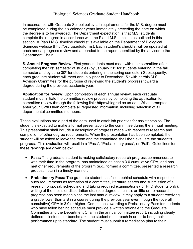In accordance with Graduate School policy, all requirements for the M.S. degree must be completed during the six calendar years immediately preceding the date on which the degree is to be awarded. The Department expectation is that M.S. students complete their degree in accordance with the Plan I M.S. timeline as outlined in this section. A Plan I M.S. timeline checklist is available on the Department of Biological Sciences website [\(http://bsc.ua.edu/forms\). E](http://bsc.ua.edu/forms))ach student's checklist will be updated at each annual progress review and appended to the report submitted by the advisor to the Department Chair.

**5. Annual Progress Review:** First year students must meet with their committee after completing the first semester of studies (by January 31<sup>st</sup> for students entering in the fall semester and by June 30<sup>th</sup> for students entering in the spring semester) Subsequently, each graduate student will meet annually prior to December 15<sup>th</sup> with her/his M.S. Advisory Committee for the purpose of reviewing the student's progress toward a degree during the previous academic year.

**Application for review:** Upon completion of each annual review, each graduate student must initiate the committee review process by completing the application for committee review through the following link: https://biograd.as.ua.edu. When prompted, enter your CWID then complete all requested information, including selection of all departmental committee members.

These evaluations are a part of the data used to establish priorities for assistantships. The student is expected to make a formal presentation to the committee during the annual meeting. This presentation shall include a description of progress made with respect to research and completion of other degree requirements. When the presentation has been completed, the student will be asked to leave the room and the committee shall then evaluate the student's progress. This evaluation will result in a "Pass", "Probationary pass", or "Fail". Guidelines for these rankings are given below:

- **Pass:** The graduate student is making satisfactory research progress commensurate with their time in the program, has maintained at least a 3.0 cumulative GPA, and has met other requirements of the program (e.g., formed a committee, presented a research proposal, etc.) in a timely manner.
- **Probationary Pass:** The graduate student has fallen behind schedule with respect to such requirements as formation of a committee, literature search and submission of a research proposal, scheduling and taking required examinations (for PhD students only), writing of the thesis or dissertation etc. (see degree timeline), or little or no research progress has been made since the last annual review. It may apply to a student receiving a grade lower than a B in a course during the previous year even though the (overall cumulative) GPA is 3.0 or higher. Committees awarding a Probationary Pass for students who have fallen behind schedule must provide a written rationale to the Graduate Committee and the Department Chair in the annual committee report, including clearly defined milestones or benchmarks the student must reach in order to bring their performance up to standard. The student must submit a remediation plan to their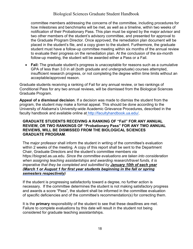committee members addressing the concerns of the committee, including procedures for how milestones and benchmarks will be met, as well as a timeline, within two weeks of notification of their Probationary Pass. This plan must be signed by the major advisor and two other members of the student's advisory committee, and presented for approval to the Graduate Program Director. Once approved, the remediation plan document will be placed in the student's file, and a copy given to the student. Furthermore, the graduate student must have a follow-up committee meeting within six months of the annual review to evaluate their progress on the remediation plan. At the conclusion of the six-month follow-up meeting, the student will be awarded either a Pass or a Fail.

• **Fail:** The graduate student's progress is unacceptable for reasons such as a cumulative GPA of less than 3.0 in all (both graduate and undergraduate) courses attempted, insufficient research progress, or not completing the degree within time limits without an acceptable/approved reason.

Graduate students receiving a ranking of Fail for any annual review, or two rankings of Conditional Pass for any two annual reviews, will be dismissed from the Biological Sciences Graduate Program.

**Appeal of a dismissal decision**. If a decision was made to dismiss the student from the program, the student may make a formal appeal. This should be done according to the University of Alabama's University-wide Academic Grievance Procedures, described in the faculty handbook and available online at [http://facultyhandbook.ua.edu/.](http://facultyhandbook.ua.edu/)

#### **GRADUATE STUDENTS RECEIVING A RANKING OF "Fail" FOR ANY ANNUAL REVIEW, OR TWO RANKINGS OF "Probationary Pass" FOR ANY TWO ANNUAL REVIEWS, WILL BE DISMISSED FROM THE BIOLOGICAL SCIENCES GRADUATE PROGRAM**.

The major professor shall inform the student in writing of the committee's evaluation within 2 weeks of the meeting. A copy of this report shall be sent to the Department Chair, Graduate Directors and the student's committee members via https://biograd.as.ua.edu. *Since the committee evaluations are taken into consideration when assigning teaching assistantships and awarding research/travel funds, it is imperative that they be completed and submitted by January 10th of each year (March 1 or August 1 for first year students beginning in the fall or spring semesters respectively)*

If the student is progressing satisfactorily toward a degree, no further action is necessary. If the committee determines the student is not making satisfactory progress and awards a score "Pass", the student shall be informed in the committee evaluation of specific deficiencies and of the committee's recommendation(s) for correcting them.

It is the **primary** responsibility of the student to see that these deadlines are met. Failure to complete evaluations by this date will result in the student not being considered for graduate teaching assistantships.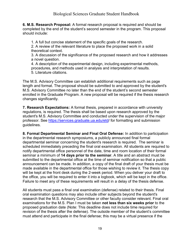**6. M.S. Research Proposal:** A formal research proposal is required and should be completed by the end of the student's second semester in the program. This proposal should include:

1. A full but concise statement of the specific goals of the research.

2. A review of the relevant literature to place the proposed work in a solid theoretical context.

3. A discussion of the significance of the proposed research and how it addresses a novel question.

4. A description of the experimental design, including experimental methods, procedures, and methods used in analysis and interpretation of results. 5. Literature citations.

The M.S. Advisory Committee can establish additional requirements such as page length and format. The proposal should be submitted to and approved by the student's M.S. Advisory Committee no later than the end of the student's second semester enrolled in the Graduate Program. A new proposal will be required if the thesis research changes significantly.

**7. Research Expectations:** A formal thesis, prepared in accordance with university regulations, is required. The thesis shall be based upon research approved by the student's M.S. Advisory Committee and conducted under the supervision of the major professor. See [https://services.graduate.ua.edu/etd/](https://services.graduate.ua.edu/etd) for formatting and submission guidelines.

**8. Formal Departmental Seminar and Final Oral Defense:** In addition to participation in the departmental research symposiums, a publicly announced final formal departmental seminar concerning the student's research is required. The seminar is scheduled immediately preceding the final oral examination. All students are required to notify departmental office personnel of the date, time and room location of their formal seminar a minimum of **14 days prior to the seminar**. A title and an abstract must be submitted to the departmental office at the time of seminar notification so that a public announcement can be made. In addition, a copy of the final draft of your thesis must be made available in the departmental office for those wishing to review it. The thesis copy will be kept at the front desk during the 2-week period. When you deliver your draft to the office, you will be required to enter it into a logbook, which will be kept in the office. Failure to meet any of these requirements will result in a delay of the thesis defense.

All students must pass a final oral examination (defense) related to their thesis. Final oral examination questions may also include other subjects beyond the student's research that the M.S. Advisory Committee or other faculty consider relevant. Final oral examinations for the M.S. Plan I must be taken **not less than six weeks prior** to the proposed graduation date (Note: This deadline does not include time required for revision of the thesis after the defense). The outside member of the student's committee must attend and participate in the final defense; this may be a virtual presence if the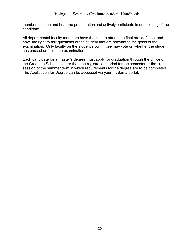member can see and hear the presentation and actively participate in questioning of the candidate.

All departmental faculty members have the right to attend the final oral defense, and have the right to ask questions of the student that are relevant to the goals of the examination. Only faculty on the student's committee may vote on whether the student has passed or failed the examination.

Each candidate for a master's degree must apply for graduation through the Office of the Graduate School no later than the registration period for the semester or the first session of the summer term in which requirements for the degree are to be completed. The Application for Degree can be accessed via your myBama portal.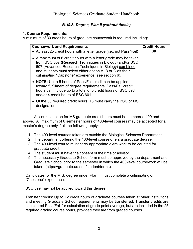#### *B. M.S. Degree, Plan II (without thesis)*

#### <span id="page-20-0"></span>**1. Course Requirements:**

A minimum of 30 credit hours of graduate coursework is required including:

| <b>Coursework and Requirements</b>                                                                                                                                                                                                                                                                      | <b>Credit Hours</b> |
|---------------------------------------------------------------------------------------------------------------------------------------------------------------------------------------------------------------------------------------------------------------------------------------------------------|---------------------|
| • At least 25 credit hours with a letter grade (i.e., not Pass/Fail)                                                                                                                                                                                                                                    | 30                  |
| • A maximum of 6 credit hours with a letter grade may be taken<br>from BSC 507 (Research Techniques in Biology) and/or BSC<br>607 (Advanced Research Techniques in Biology) combined<br>and students must select either option A, B or C as their<br>culminating "Capstone" experience (see section 6). |                     |
| • NOTE: Up to 5 hours of Pass/Fail credit can be applied<br>toward fulfillment of degree requirements. Pass/Fail credit<br>hours can include up to a total of 5 credit hours of BSC 598<br>and/or 4 credit hours of BSC 601                                                                             |                     |
| • Of the 30 required credit hours, 18 must carry the BSC or MS<br>designation.                                                                                                                                                                                                                          |                     |

All courses taken for MS graduate credit hours must be numbered 400 and above. All maximum of 6 semester hours of 400-level courses may be accepted for a master's degree only if all the following apply:

- 1. The 400-level courses taken are outside the Biological Sciences Department.
- 2. The department offering the 400-level course offers a graduate degree.
- 3. The 400-level course must carry appropriate extra work to be counted for graduate credit.
- 4. The student must have the consent of their major advisor.
- 5. The necessary Graduate School form must be approved by the department and Graduate School prior to the semester in which the 400-level coursework will be taken. (https://graduate.ua.edu/student/forms).

Candidates for the M.S. degree under Plan II must complete a culminating or "Capstone" experience.

BSC 599 may not be applied toward this degree.

Transfer credits: Up to 12 credit hours of graduate courses taken at other institutions and meeting Graduate School requirements may be transferred. Transfer credits are considered Pass/Fail for calculation of grade point average, but are included in the 25 required graded course hours, provided they are from graded courses.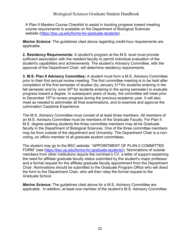A Plan II Masters Course Checklist to assist in tracking progress toward meeting course requirements is available on the Department of Biological Sciences website [\(https://bsc.ua.edu/forms-for-graduate-students\).](https://bsc.ua.edu/forms-for-graduate-students)

*Marine Science***:** The guidelines cited above regarding credit-hour requirements are applicable.

**2. Residency Requirements:** A student's program at the M.S. level must provide sufficient association with the resident faculty to permit individual evaluation of the student's capabilities and achievements. The student's Advisory Committee, with the approval of the Department Chair, will determine residency requirements.

**3. M.S. Plan II Advisory Committee:** A student must form a M.S. Advisory Committee prior to their first annual review meeting. The first committee meeting is to be held after completion of the first semester of studies (by January 31<sup>st</sup> for students entering in the fall semester and by June 30<sup>th</sup> for students entering in the spring semester) to evaluate progress toward a degree. In subsequent years of study, the committee will meet prior to December 15<sup>th</sup> to review progress during the previous academic year. It will also meet as needed to administer all final examinations, and to examine and approve the culmination Capstone Experience.

The M.S. Advisory Committee must consist of at least three members. All members of an M.S. Advisory Committee must be members of the Graduate Faculty. For Plan II M.S. degree-seeking students the three committee members may all be Graduate faculty in the Department of Biological Sciences. One of the three committee members may be from outside of the department and University. The Department Chair is a nonvoting, *ex officio* member of all graduate student committees.

The student may go to the BSC website: "APPOINTMENT OF PLAN II COMMITTEE FORM" (see [https://bsc.ua.edu/forms-for-graduate-students/\)](https://bsc.ua.edu/forms-for-graduate-students/). Nominations of outside members from other institutions require the nominee's CV, a letter of support explaining the need for affiliate graduate faculty status submitted by the student's major professor and a formal request for the affiliate graduate faculty appointment from the Department Chair. Nominations should be submitted to the Graduate Program Office who will direct the form to the Department Chair, who will then relay the formal request to the Graduate School.

*Marine Science***:** The guidelines cited above for a M.S. Advisory Committee are applicable. In addition, at least one member of the student's M.S. Advisory Committee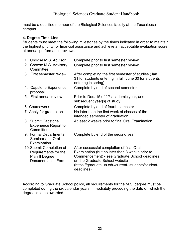must be a qualified member of the Biological Sciences faculty at the Tuscaloosa campus.

#### **4. Degree Time Line:**

Students must meet the following milestones by the times indicated in order to maintain the highest priority for financial assistance and achieve an acceptable evaluation score at annual performance reviews.

| 1. Choose M.S. Advisor                                                                          | Complete prior to first semester review                                                                                                                                                                                                             |
|-------------------------------------------------------------------------------------------------|-----------------------------------------------------------------------------------------------------------------------------------------------------------------------------------------------------------------------------------------------------|
| 2. Choose M.S. Advisory<br>Committee                                                            | Complete prior to first semester review                                                                                                                                                                                                             |
| 3. First semester review                                                                        | After completing the first semester of studies (Jan.<br>31 for students entering in fall, June 30 for students<br>entering in spring)                                                                                                               |
| 4. Capstone Experience<br>proposal                                                              | Complete by end of second semester                                                                                                                                                                                                                  |
| 5. First annual review                                                                          | Prior to Dec. 15 of 2 <sup>nd</sup> academic year, and<br>subsequent year[s] of study                                                                                                                                                               |
| 6. Coursework                                                                                   | Complete by end of fourth semester                                                                                                                                                                                                                  |
| 7. Apply for graduation                                                                         | No later than the first week of classes of the<br>intended semester of graduation                                                                                                                                                                   |
| 8. Submit Capstone<br><b>Experience Report to</b><br>Committee                                  | At least 2 weeks prior to final Oral Examination                                                                                                                                                                                                    |
| 9. Formal Departmental<br><b>Seminar and Oral</b><br>Examination                                | Complete by end of the second year                                                                                                                                                                                                                  |
| 10. Submit Completion of<br>Requirements for the<br>Plan II Degree<br><b>Documentation Form</b> | After successful completion of final Oral<br>Examination (but no later than 3 weeks prior to<br>Commencement) - see Graduate School deadlines<br>on the Graduate School website<br>(https://graduate.ua.edu/current-students/student-<br>deadlines) |

According to Graduate School policy, all requirements for the M.S. degree must be completed during the six calendar years immediately preceding the date on which the degree is to be awarded.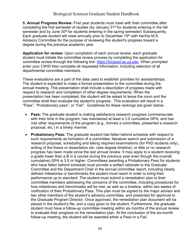**5. Annual Progress Review:** First year students must meet with their committee after completing the first semester of studies (by January 31<sup>st</sup> for students entering in the fall semester and by June 30<sup>th</sup> for students entering in the spring semester) Subsequently, Each graduate student will meet annually prior to December  $15<sup>th</sup>$  with her/his M.S. Advisory Committee for the purpose of reviewing the student's progress toward a degree during the previous academic year.

**Application for review:** Upon completion of each annual review, each graduate student must initiate the committee review process by completing the application for committee review through the following link: [https://biograd.as.ua.edu.](https://biograd.as.ua.edu/) When prompted enter your CWID then complete all requested information, including selection of all departmental committee members.

These evaluations are a part of the data used to establish priorities for assistantships. The student is expected to make a formal presentation to the committee during the annual meeting. This presentation shall include a description of progress made with respect to research and completion of other degree requirements. When the presentation has been completed, the student will be asked to leave the room and the committee shall then evaluate the student's progress. This evaluation will result in a "Pass", "Probationary pass", or "Fail". Guidelines for these rankings are given below:

- **Pass:** The graduate student is making satisfactory research progress commensurate with their time in the program, has maintained at least a 3.0 cumulative GPA, and has met other requirements of the program (e.g., formed a committee, presented a research proposal, etc.) in a timely manner.
- **Probationary Pass:** The graduate student has fallen behind schedule with respect to such requirements as formation of a committee, literature search and submission of a research proposal, scheduling and taking required examinations (for PhD students only), writing of the thesis or dissertation etc. (see degree timeline), or little or no research progress has been made since the last annual review. It may apply to a student receiving a grade lower than a B in a course during the previous year even though the (overall cumulative) GPA is 3.0 or higher. Committees awarding a Probationary Pass for students who have fallen behind schedule must provide a written rationale to the Graduate Committee and the Department Chair in the annual committee report, including clearly defined milestones or benchmarks the student must reach in order to bring their performance up to standard. The student must submit a remediation plan to their committee members addressing the concerns of the committee, including procedures for how milestones and benchmarks will be met, as well as a timeline, within two weeks of notification of their Probationary Pass. This plan must be signed by the major advisor and two other members of the student's advisory committee, and presented for approval to the Graduate Program Director. Once approved, the remediation plan document will be placed in the student's file, and a copy given to the student. Furthermore, the graduate student must have a follow-up committee meeting within six months of the annual review to evaluate their progress on the remediation plan. At the conclusion of the six-month follow-up meeting, the student will be awarded either a Pass or a Fail.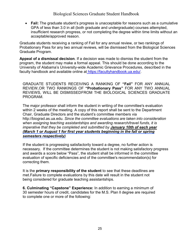• **Fail:** The graduate student's progress is unacceptable for reasons such as a cumulative GPA of less than 3.0 in all (both graduate and undergraduate) courses attempted, insufficient research progress, or not completing the degree within time limits without an acceptable/approved reason.

Graduate students receiving a ranking of Fail for any annual review, or two rankings of Probationary Pass for any two annual reviews, will be dismissed from the Biological Sciences Graduate Program.

**Appeal of a dismissal decision**. If a decision was made to dismiss the student from the program, the student may make a formal appeal. This should be done according to the University of Alabama's University-wide Academic Grievance Procedures, described in the faculty handbook and available online at [https://facultyhandbook.ua.edu/.](https://facultyhandbook.ua.edu/)

GRADUATE STUDENTS RECEIVING A RANKING OF **"Fail"** FOR ANY ANNUAL REVIEW,OR TWO RANKINGS OF **"Probationary Pass"** FOR ANY TWO ANNUAL REVIEWS, WILL BE DISMISSEDFROM THE BIOLOGICAL SCIENCES GRADUATE PROGRAM.

The major professor shall inform the student in writing of the committee's evaluation within 2 weeks of the meeting. A copy of this report shall be sent to the Department Chair, Graduate Directors and the student's committee members via [http://biograd.as.ua.edu.](http://biograd.as.ua.edu/) *Since the committee evaluations are taken into consideration when assigning teaching assistantships and awarding research/travel funds, it is imperative that they be completed and submitted by January 10th of each year (March 1 or August 1 for first year students beginning in the fall or spring semesters respectively)*

If the student is progressing satisfactorily toward a degree, no further action is necessary. If the committee determines the student is not making satisfactory progress and awards a score below "Pass", the student shall be informed in the committee evaluation of specific deficiencies and of the committee's recommendation(s) for correcting them.

It is the **primary responsibility of the student** to see that these deadlines are met.Failure to complete evaluations by this date will result in the student not being considered for graduate teaching assistantships.

**6. Culminating "Capstone" Experience:** In addition to earning a minimum of 30 semester hours of credit, candidates for the M.S. Plan ll degree are required to complete one or more of the following: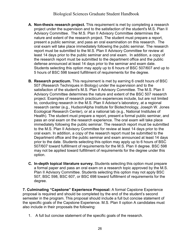- **A. Non-thesis research project.** This requirement is met by completing a research project under the supervision and to the satisfaction of the student's M.S. Plan II Advisory Committee. The M.S. Plan II Advisory Committee determines the nature and extent of the research project. The student must prepare a report, present a public seminar, and pass an oral examination on this research. The oral exam will take place immediately following the public seminar. The research report must be submitted to the M.S. Plan II Advisory Committee for review at least 14 days prior to the public seminar and oral exam. In addition, a copy of the research report must be submitted to the department office and the public defense announced at least 14 days prior to the seminar and exam date. Students selecting this option may apply up to 6 hours of BSC 507/607 and up to 5 hours of BSC 598 toward fulfillment of requirements for the degree.
- **B. Research practicum.** This requirement is met by earning 6 credit hours of BSC 507 (Research Techniques in Biology) under the supervision and to the satisfaction of the student's M.S. Plan II Advisory Committee. The M.S. Plan II Advisory Committee determines the nature and extent of the BSC 507 research project. Examples of research practicum experiences include, but are not limited to, conducting research in the M.S. Plan II Advisor's laboratory, at a regional research center (e.g., HudsonAlpha Institute for Biotechnology, Joseph W. Jones Ecological Research Center), or at a national lab (e.g., National Institutes of Health). The student must prepare a report, present a formal public seminar, and pass an oral exam on the research experience. The oral exam will take place immediately following the public seminar. The research report must be submitted to the M.S. Plan II Advisory Committee for review at least 14 days prior to the oral exam. In addition, a copy of the research report must be submitted to the Department office and the public seminar and exam announced at least 14 days prior to the date. Students selecting this option may apply up to 6 hours of BSC 507/607 toward fulfillment of requirements for the M.S. Plan II degree. BSC 598 may not be applied toward fulfillment of requirements for the degree under this option.
- **C. In-depth topical literature survey.** Students selecting this option must prepare a formal paper and pass an oral exam on a research topic approved by the M.S. Plan II Advisory Committee. Students selecting this option may not apply BSC 507, BSC 598, BSC 607, or BSC 698 toward fulfillment of requirements for the degree.

**7. Culminating "Capstone" Experience Proposal:** A formal Capstone Experience proposal is required and should be completed by the end of the student's second semester in the program. This proposal should include a full but concise statement of the specific goals of the Capstone Experience. M.S. Plan II option A candidates must also include in their proposals the following:

1. A full but concise statement of the specific goals of the research.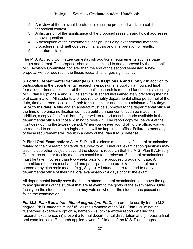- 2. A review of the relevant literature to place the proposed work in a solid theoretical context.
- 3. A discussion of the significance of the proposed research and how it addresses a novel question.
- 4. A description of the experimental design, including experimental methods, procedures, and methods used in analysis and interpretation of results.
- 5. Literature citations.

The M.S. Advisory Committee can establish additional requirements such as page length and format. The proposal should be submitted to and approved by the student's M.S. Advisory Committee not later than the end of the second semester. A new proposal will be required if the thesis research changes significantly.

**8. Formal Departmental Seminar (M.S. Plan II Options A and B only):** In addition to participation in the departmental research symposiums, a publicly announced final formal departmental seminar of the student's research is required for students selecting M.S. Plan II Options A and B. The seminar is scheduled immediately preceding the final oral examination. All students are required to notify departmental office personnel of the date, time and room location of their formal seminar and exam a minimum of **14 days prior to the date**. A title and an abstract must be submitted to the departmental office at the time of defense notification so that a public announcement can be made. In addition, a copy of the final draft of your written report must be made available in the departmental office for those wishing to review it. The report copy will be kept at the front desk during the 2-week period. When you deliver your draft to the office, you will be required to enter it into a logbook that will be kept in the office. Failure to meet any of these requirements will result in a delay of the Plan II M.S. defense.

**9. Final Oral Examination:** All M.S. Plan II students must pass a final oral examination related to their research or literature survey topic. Final oral examination questions may also include other subjects beyond the student's research that the M.S. Plan II Advisory Committee or other faculty members consider to be relevant. Final oral examinations must be taken not less than two weeks prior to the proposed graduation date. All committee members must attend and participate in the oral examination, either inperson or by electronic means (e.g., Skype). All students are required to notify the departmental office of their final oral examination 14 days prior to the exam.

All departmental faculty have the right to attend the oral examination, and have the right to ask questions of the student that are relevant to the goals of the examination. Only faculty on the student's committee may vote on whether the student has passed or failed the examination.

*For M.S. Plan II as a transitional degree (pre-Ph.D.):* In order to qualify for the M.S. degree, Ph.D. students must fulfill all requirements of the M.S. Plan II culminating "Capstone" experience option A, namely (i) submit a written report detailing the research experience, (ii) present a formal departmental dissertation and (iii) pass a final oral examination). Research applied toward fulfillment of the M.S. Plan II degree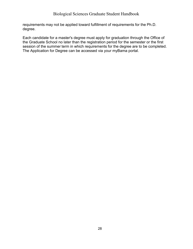requirements may not be applied toward fulfillment of requirements for the Ph.D. degree.

Each candidate for a master's degree must apply for graduation through the Office of the Graduate School no later than the registration period for the semester or the first session of the summer term in which requirements for the degree are to be completed. The Application for Degree can be accessed via your myBama portal.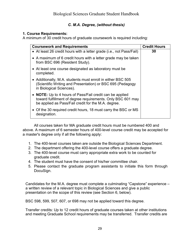#### *C. M.A. Degree, (without thesis)*

#### **1. Course Requirements:**

A minimum of 30 credit hours of graduate coursework is required including:

| <b>Coursework and Requirements</b>                                                                                                                                             | <b>Credit Hours</b> |
|--------------------------------------------------------------------------------------------------------------------------------------------------------------------------------|---------------------|
| • At least 26 credit hours with a letter grade (i.e., not Pass/Fail)                                                                                                           | 30                  |
| • A maximum of 6 credit hours with a letter grade may be taken<br>from BSC 696 (Resident Study).                                                                               |                     |
| • At least one course designated as laboratory must be<br>completed.                                                                                                           |                     |
| • Additionally, M.A. students must enroll in either BSC 505<br>(Scientific Writing and Presentation) or BSC 695 (Pedagogy<br>in Biological Sciences).                          |                     |
| • NOTE: Up to 4 hours of Pass/Fail credit can be applied<br>toward fulfillment of degree requirements. Only BSC 601 may<br>be applied as Pass/Fail credit for the M.A. degree. |                     |
| • Of the 30 required credit hours, 18 must carry the BSC or MS<br>designation.                                                                                                 |                     |

All courses taken for MA graduate credit hours must be numbered 400 and above. A maximum of 6 semester hours of 400-level course credit may be accepted for a master's degree only if all the following apply:

- 1. The 400-level courses taken are outside the Biological Sciences Department.
- 2. The department offering the 400-level course offers a graduate degree.
- 3. The 400-level course must carry appropriate extra work to be counted for graduate credit.
- 4. The student must have the consent of his/her committee chair.
- 5. Please contact the graduate program assistants to initiate this form through DocuSign.

Candidates for the M.A. degree must complete a culminating "Capstone" experience – a written review of a relevant topic in Biological Sciences and give a public presentation on the scope of this review (see Section 6, below).

BSC 598, 599, 507, 607, or 698 may not be applied toward this degree.

Transfer credits: Up to 12 credit hours of graduate courses taken at other institutions and meeting Graduate School requirements may be transferred. Transfer credits are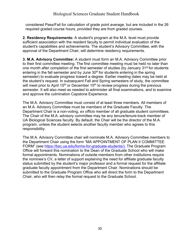considered Pass/Fail for calculation of grade point average, but are included in the 26 required graded course hours, provided they are from graded courses.

**2. Residency Requirements:** A student's program at the M.A. level must provide sufficient association with the resident faculty to permit individual evaluation of the student's capabilities and achievements. The student's Advisory Committee, with the approval of the Department Chair, will determine residency requirements.

**3. M.A. Advisory Committee:** A student must form an M.A. Advisory Committee prior to their first committee meeting. The first committee meeting must be held no later than one month after completion of the first semester of studies (by January 31<sup>st</sup> for students entering in the fall semester and by June  $30<sup>th</sup>$  for students entering in the spring semester) to evaluate progress toward a degree. Earlier meeting dates may be held at the student's request. In subsequent Fall and Spring semesters of study, the committee will meet prior to April 15<sup>th</sup> or December 15<sup>th</sup> to review progress during the previous semester. It will also meet as needed to administer all final examinations, and to examine and approve the culmination Capstone Experience.

The M.A. Advisory Committee must consist of at least three members. All members of an M.A. Advisory Committee must be members of the Graduate Faculty. The Department Chair is a non-voting, *ex officio* member of all graduate student committees. The Chair of the M.A. advisory committee may be any tenure/tenure-track member of UA Biological Sciences faculty. By default, the Chair will be the director of the M.A. program, unless the student selects another faculty member who agrees to this responsibility.

The M.A. Advisory Committee chair will nominate M.A. Advisory Committee members to the Department Chair using the form "MA APPOINTMENT OF PLAN II COMMITTEE FORM" (see [https://bsc.ua.edu/forms-for-graduate-students/\)](https://bsc.ua.edu/forms-for-graduate-students/). The Graduate Program Office will forward this nomination to the Dean of the Graduate School who will make formal appointments. Nominations of outside members from other institutions require the nominee's CV, a letter of support explaining the need for affiliate graduate faculty status submitted by the student's major professor and a formal request for the affiliate graduate faculty appointment from the Department Chair. Nominations should be submitted to the Graduate Program Office who will direct the form to the Department Chair, who will then relay the formal request to the Graduate School.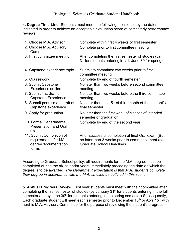**4. Degree Time Line:** Students must meet the following milestones by the dates indicated in order to achieve an acceptable evaluation score at semesterly performance reviews.

| 1. Choose M.A. Advisor                                                           | Complete within first 4 weeks of first semester                                                                                        |
|----------------------------------------------------------------------------------|----------------------------------------------------------------------------------------------------------------------------------------|
| 2. Choose M.A. Advisory<br>Committee                                             | Complete prior to first committee meeting                                                                                              |
| 3. First committee meeting                                                       | After completing the first semester of studies (Jan.<br>31 for students entering in fall, June 30 for spring)                          |
| 4. Capstone experience topic                                                     | Submit to committee two weeks prior to first<br>committee meeting                                                                      |
| 5. Coursework                                                                    | Complete by end of fourth semester                                                                                                     |
| 6. Submit Capstone<br>Experience outline                                         | No later than two weeks before second committee<br>meeting                                                                             |
| 7. Submit first draft of<br>Capstone Experience                                  | No later than two weeks before the third committee<br>meeting                                                                          |
| 8. Submit penultimate draft of<br>Capstone experience                            | No later than the 15 <sup>th</sup> of third month of the student's<br>final semester                                                   |
| 9. Apply for graduation                                                          | No later than the first week of classes of intended<br>semester of graduation                                                          |
| 10. Formal Departmental<br><b>Presentation and Oral</b><br>exam                  | Complete by end of the second year                                                                                                     |
| 11. Submit Completion of<br>requirements for MA<br>degree documentation<br>forms | After successful completion of final Oral exam (But,<br>no later than 3 weeks prior to commencement (see<br>Graduate School Deadlines) |

According to Graduate School policy, all requirements for the M.A. degree must be completed during the six calendar years immediately preceding the date on which the degree is to be awarded. *The Department expectation is that M.A. students complete their degree in accordance with the M.A. timeline as outlined in this section*.

**5. Annual Progress Review:** First year students must meet with their committee after completing the first semester of studies (by January 31<sup>st</sup> for students entering in the fall semester and by June 30<sup>th</sup> for students entering in the spring semester) Subsequently, Each graduate student will meet each semester prior to December  $15<sup>th</sup>$  or April  $15<sup>th</sup>$  with her/his M.A. Advisory Committee for the purpose of reviewing the student's progress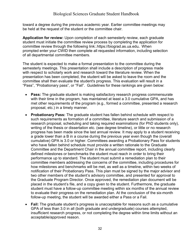toward a degree during the previous academic year. Earlier committee meetings may be held at the request of the student or the committee chair.

**Application for review:** Upon completion of each semesterly review, each graduate student must initiate the committee review process by completing the application for committee review through the following link:.https://biograd.as.ua.edu**.** When prompted enter your CWID then complete all requested information, including selection of all departmental committee members.

The student is expected to make a formal presentation to the committee during the semesterly meetings. This presentation shall include a description of progress made with respect to scholarly work and research toward the literature review. When the presentation has been completed, the student will be asked to leave the room and the committee shall then evaluate the student's progress. This evaluation will result in a "Pass", "Probationary pass", or "Fail". Guidelines for these rankings are given below:

- **Pass:** The graduate student is making satisfactory research progress commensurate with their time in the program, has maintained at least a 3.0 cumulative GPA, and has met other requirements of the program (e.g., formed a committee, presented a research proposal, etc.) in a timely manner.
- **Probationary Pass:** The graduate student has fallen behind schedule with respect to such requirements as formation of a committee, literature search and submission of a research proposal, scheduling and taking required examinations (for PhD students only), writing of the thesis or dissertation etc. (see degree timeline), or little or no research progress has been made since the last annual review. It may apply to a student receiving a grade lower than a B in a course during the previous year even though the (overall cumulative) GPA is 3.0 or higher. Committees awarding a Probationary Pass for students who have fallen behind schedule must provide a written rationale to the Graduate Committee and the Department Chair in the annual committee report, including clearly defined milestones or benchmarks the student must reach in order to bring their performance up to standard. The student must submit a remediation plan to their committee members addressing the concerns of the committee, including procedures for how milestones and benchmarks will be met, as well as a timeline, within two weeks of notification of their Probationary Pass. This plan must be signed by the major advisor and two other members of the student's advisory committee, and presented for approval to the Graduate Program Director. Once approved, the remediation plan document will be placed in the student's file, and a copy given to the student. Furthermore, the graduate student must have a follow-up committee meeting within six months of the annual review to evaluate their progress on the remediation plan. At the conclusion of the six-month follow-up meeting, the student will be awarded either a Pass or a Fail.
- **Fail:** The graduate student's progress is unacceptable for reasons such as a cumulative GPA of less than 3.0 in all (both graduate and undergraduate) courses attempted, insufficient research progress, or not completing the degree within time limits without an acceptable/approved reason.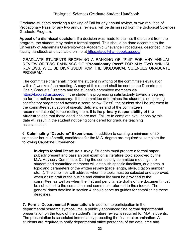Graduate students receiving a ranking of Fail for any annual review, or two rankings of Probationary Pass for any two annual reviews, will be dismissed from the Biological Sciences Graduate Program.

**Appeal of a dismissal decision**. If a decision was made to dismiss the student from the program, the student may make a formal appeal. This should be done according to the University of Alabama's University-wide Academic Grievance Procedures, described in the faculty handbook and available online at [https://facultyhandbook.ua.edu/.](https://facultyhandbook.ua.edu/)

GRADUATE STUDENTS RECEIVING A RANKING OF **"Fail"** FOR ANY ANNUAL REVIEW,OR TWO RANKINGS OF **"Probationary Pass"** FOR ANY TWO ANNUAL REVIEWS, WILL BE DISMISSEDFROM THE BIOLOGICAL SCIENCES GRADUATE PROGRAM.

The committee chair shall inform the student in writing of the committee's evaluation within 2 weeks of the meeting. A copy of this report shall be sent to the Department Chair, Graduate Directors and the student's committee members via [https://biograd.as.ua.edu.](https://biograd.as.ua.edu/) If the student is progressing satisfactorily toward a degree, no further action is necessary. If the committee determines the student is not making satisfactory progressand awards a score below "Pass", the student shall be informed in the committee evaluation of specific deficiencies and of the committee's recommendation(s) for correcting them. It is the **primary responsibility of the student** to see that these deadlines are met. Failure to complete evaluations by this date will result in the student not being considered for graduate teaching assistantships.

**6. Culminating "Capstone" Experience:** In addition to earning a minimum of 30 semester hours of credit, candidates for the M.A. degree are required to complete the following Capstone Experience:

**In-depth topical literature survey.** Students must prepare a formal paper, publicly present and pass an oral exam on a literature topic approved by the M.A. Advisory Committee. During the semesterly committee meetings the student and committee members will establish specific timelines, due dates, a topic and parameters of the written review (page length, style, citation number etc…). The timelines will address when the topic must be selected and approved, when a first draft of the outline and citation list must be provided to the committee, as well as when the first and penultimate drafts of the document must be submitted to the committee and comments returned to the student. The general dates detailed in section 4 should serve as guides for establishing these deadlines.

**7. Formal Departmental Presentation:** In addition to participation in the departmental research symposiums, a publicly announced final formal departmental presentation on the topic of the student's literature review is required for M.A. students. The presentation is scheduled immediately preceding the final oral examination. All students are required to notify departmental office personnel of the date, time and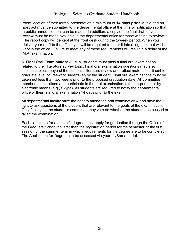room location of their formal presentation a minimum of **14 days prior**. A title and an abstract must be submitted to the departmental office at the time of notification so that a public announcement can be made. In addition, a copy of the final draft of your review must be made available in the departmental office for those wishing to review it. The report copy will be kept at the front desk during the 2-week period. When you deliver your draft to the office, you will be required to enter it into a logbook that will be kept in the office. Failure to meet any of these requirements will result in a delay of the M.A. examination.

**8. Final Oral Examination:** All M.A. students must pass a final oral examination related to their literature survey topic. Final oral examination questions may also include subjects beyond the student's literature review and reflect material pertinent to graduate level coursework undertaken by the student. Final oral examinations must be taken not less than two weeks prior to the proposed graduation date. All committee members must attend and participate in the oral examination, either in-person or by electronic means (e.g., Skype). All students are required to notify the departmental office of their final oral examination 14 days prior to the exam.

All departmental faculty have the right to attend the oral examination 4,and have the right to ask questions of the student that are relevant to the goals of the examination. Only faculty on the student's committee may vote on whether the student has passed or failed the examination.

Each candidate for a master's degree must apply for graduation through the Office of the Graduate School no later than the registration period for the semester or the first session of the summer term in which requirements for the degree are to be completed. The Application for Degree can be accessed via your myBama portal.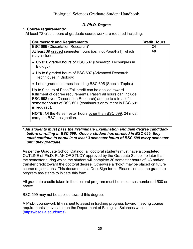#### *D. Ph.D. Degree*

#### <span id="page-34-0"></span>**1. Course requirements:**

At least 72 credit hours of graduate coursework are required including:

| <b>Coursework and Requirements</b>                                                                                                                                                                                                                                       | <b>Credit Hours</b> |
|--------------------------------------------------------------------------------------------------------------------------------------------------------------------------------------------------------------------------------------------------------------------------|---------------------|
| BSC 699 (Dissertation Research)*                                                                                                                                                                                                                                         | 24                  |
| At least 39 graded semester hours (i.e., not Pass/Fail), which<br>may include:                                                                                                                                                                                           | 48                  |
| • Up to 6 graded hours of BSC 507 (Research Techniques in<br>Biology)                                                                                                                                                                                                    |                     |
| • Up to 6 graded hours of BSC 607 (Advanced Research<br>Techniques in Biology)                                                                                                                                                                                           |                     |
| • Letter graded courses including BSC 695 (Special Topics)                                                                                                                                                                                                               |                     |
| Up to 9 hours of Pass/Fail credit can be applied toward<br>fulfillment of degree requirements. Pass/Fail hours can include<br>BSC 698 (Non-Dissertation Research) and up to a total of 4<br>semester hours of BSC 601 (continuous enrollment in BSC 601<br>is required). |                     |
| <b>NOTE:</b> Of the 48 semester hours other than BSC 699, 24 must<br>carry the BSC designation.                                                                                                                                                                          |                     |

#### \* *All students must pass the Preliminary Examination and gain degree candidacy before enrolling in BSC 699. Once a student has enrolled in BSC 699, they must continue to enroll in at least 3 semester hours of BSC 699 every semester until they graduate.*

As per the Graduate School Catalog, all doctoral students must have a completed OUTLINE of Ph.D. PLAN OF STUDY approved by the Graduate School no later than the semester during which the student will complete 30 semester hours of UA and/or transfer credit toward the doctoral degree. Otherwise a "hold" may be placed on future course registrations. This document is a DocuSign form. Please contact the graduate program assistants to initiate this form.

All graduate credits taken in the doctoral program must be in courses numbered 500 or above.

BSC 599 may not be applied toward this degree.

A Ph.D. coursework fill-in sheet to assist in tracking progress toward meeting course requirements is available on the Department of Biological Sciences website [\(https://bsc.ua.edu/forms\)](https://bsc.ua.edu/forms).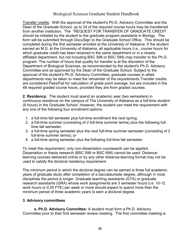Transfer credits: With the approval of the student's Ph.D. Advisory Committee and the Dean of the Graduate School, up to 24 of the required course hours may be transferred from another institution. The "REQUEST FOR TRANSFER OF GRADUATE CREDIT should be initiated by the student to the graduate program assistants in Biology. The form will be submitted through DocuSign to the Graduate School Office. This should be completed during the first semester enrolled at the University of Alabama. If the student earned an M.S. at the University of Alabama, all applicable hours (i.e., course hours for which graduate credit has been received in the same department or in a closely affiliated department, but not including BSC 598 or BSC 599) may transfer to the Ph.D. program. The number of hours that qualify for transfer is at the discretion of the Department of Biological Sciences, as recommended by the student's Ph.D. Advisory Committee and as approved by the Dean of the Graduate School. Subject to the approval of the student's Ph.D. Advisory Committee, graduate courses in allied departments may be taken to meet the remainder of the requirements.Transfer credits are considered Pass/Fail for calculation of grade point average, but are included in the 48 required graded course hours, provided they are from graded courses.

**2. Residency:** The student must spend an academic year (two semesters) in continuous residence on the campus of The University of Alabama as a full-time student (9 hours) in the Graduate School. However, the student can meet the requirement with any one of the following four enrollment options:

- 1. a full-time fall semester plus full-time enrollment the next spring;
- 2. a full-time summer (consisting of 2 full-time summer terms) plus the following fulltime fall semester;
- 3. a full-time spring semester plus the next full-time summer semester (consisting of 2 full-time summer terms); or
- 4. a full-time spring semester plus the following full-time fall semester.

To meet this requirement, only non-dissertation coursework can be applied. Dissertation or thesis research (BSC 599 or BSC 699) cannot be used. Distancelearning courses delivered online or by any other distance-learning format may not be used to satisfy the doctoral residency requirement.

The minimum period in which the doctoral degree can be earned is three full academic years of graduate study after completion of a baccalaureate degree, although in most disciplines the period is longer. Graduate teaching assistants (GTA) or graduate research assistants (GRA) whose work assignments are 3 semester hours (i.e. 10-12 work hours or 0.25 FTE) per week or more should expect to spend more than the minimum period of three academic years to earn a doctoral degree.

#### **3. Advisory committees**

**a. Ph.D. Advisory Committee:** A student must form a Ph.D. Advisory Committee prior to their first semester review meeting. The first committee meeting is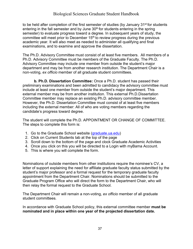to be held after completion of the first semester of studies (by January 31<sup>st</sup> for students entering in the fall semester and by June  $30<sup>th</sup>$  for students entering in the spring semester) to evaluate progress toward a degree. In subsequent years of study, the committee will meet prior to December  $15<sup>th</sup>$  to review progress during the previous academic year. It will also meet as needed to administer all qualifying and final examinations, and to examine and approve the dissertation.

The Ph.D. Advisory Committee must consist of at least five members. All members of a Ph.D. Advisory Committee must be members of the Graduate Faculty. The Ph.D. Advisory Committee may include one member from outside the student's major department and may be from another research institution. The Department Chair is a non-voting, *ex officio* member of all graduate student committees.

**b. Ph.D. Dissertation Committee:** Once a Ph.D. student has passed their preliminary examinations and been admitted to candidacy the advisory committee must include at least one member from outside the student's major department. This external member may be from another institution. This external Ph.D.Dissertation Committee member may replace an existing Ph.D. advisory committee member. However, the Ph.D. Dissertation Committee must consist of at least five members including the external member: All of who are voting members regarding the candidate's progress toward degree.

The student will complete the Ph.D. APPOINTMENT OR CHANGE OF COMMITTEE. The steps to complete this form is:

- 1. Go to the Graduate School website [\(graduate.ua.edu\)](http://graduate.ua.edu/)
- 2. Click on Current Students tab at the top of the page
- 3. Scroll down to the bottom of the page and clock Graduate Academic Activities
- 4. Once you click on this you will be directed to a Login with myBama Account.
- 5. This is where you will complete the form.

Nominations of outside members from other institutions require the nominee's CV, a letter of support explaining the need for affiliate graduate faculty status submitted by the student's major professor and a formal request for the temporary graduate faculty appointment from the Department Chair. Nominations should be submitted to the Graduate Program Office who will direct the form to the Department Chair, who will then relay the formal request to the Graduate School.

The Department Chair will remain a non-voting, *ex officio* member of all graduate student committees.

In accordance with Graduate School policy, this external committee member **must be nominated and in place within one year of the projected dissertation date.**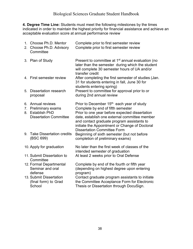**4. Degree Time Line:** Students must meet the following milestones by the times indicated in order to maintain the highest priority for financial assistance and achieve an acceptable evaluation score at annual performance review

| 2. | 1. Choose Ph.D. Mentor<br>Choose Ph.D. Advisory<br>Committee                                       | Complete prior to first semester review<br>Complete prior to first semester review                                                                                                                                                                                                            |
|----|----------------------------------------------------------------------------------------------------|-----------------------------------------------------------------------------------------------------------------------------------------------------------------------------------------------------------------------------------------------------------------------------------------------|
|    | 3. Plan of Study                                                                                   | Present to committee at 1 <sup>st</sup> annual evaluation (no<br>later than the semester during which the student<br>will complete 30 semester hours of UA and/or<br>transfer credit                                                                                                          |
|    | 4. First semester review                                                                           | After completing the first semester of studies (Jan.<br>31 for students entering in fall, June 30 for<br>students entering spring)                                                                                                                                                            |
| 5. | <b>Dissertation research</b><br>proposal                                                           | Present to committee for approval prior to or<br>during 2nd annual review                                                                                                                                                                                                                     |
| 8. | 6. Annual reviews<br>7. Preliminary exams<br><b>Establish PhD</b><br><b>Dissertation Committee</b> | Prior to December 15 <sup>th</sup> each year of study<br>Complete by end of fifth semester<br>Prior to one year before expected dissertation<br>date, establish one external committee member<br>and contact graduate program assistants to<br>initiate the Appointment or Change of Doctoral |
|    | 9. Take Dissertation credits<br>(BSC 699)                                                          | <b>Dissertation Committee Form</b><br>Beginning of sixth semester (but not before<br>completion of preliminary exams)                                                                                                                                                                         |
|    | 10. Apply for graduation                                                                           | No later than the first week of classes of the<br>intended semester of graduation                                                                                                                                                                                                             |
|    | 11. Submit Dissertation to<br>Committee                                                            | At least 2 weeks prior to Oral Defense                                                                                                                                                                                                                                                        |
|    | 12. Formal Departmental<br>Seminar and oral<br>defense                                             | Complete by end of the fourth or fifth year<br>(depending on highest degree upon entering<br>program)                                                                                                                                                                                         |
|    | 13. Submit Dissertation<br>(final form) to Grad<br>School                                          | Contact graduate program assistants to initiate<br>the Committee Acceptance Form for Electronic<br>Thesis or Dissertation through DocuSign.                                                                                                                                                   |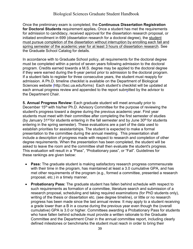Once the preliminary exam is completed, the **Continuous Dissertation Registration for Doctoral Students** requirement applies**.** Once a student has met the requirements for admission to candidacy, received approval for the dissertation research proposal, or initiated enrollment in 699 (dissertation research for a doctoral degree), the student must pursue completion of the dissertation without interruption by enrolling each fall and spring semester of the academic year for at least 3 hours of dissertation research. See the Graduate School Catalog for details.

In accordance with to Graduate School policy, all requirements for the doctoral degree must be completed within a period of seven years following admission to the doctoral program. Credits earned towards a M.S. degree may be applied to the doctoral degree if they were earned during the 6-year period prior to admission to the doctoral program. If a student fails to register for three consecutive years, the student must reapply for admission. A Ph.D. timeline checklist is available on the Department of Biological Sciences website [\(http://bsc.ua.edu/forms\)](http://bsc.ua.edu/forms)) Each student's checklist will be updated at each annual progress review and appended to the report submitted by the advisor to the Department Chair.

**5. Annual Progress Review:** Each graduate student will meet annually prior to December 15<sup>th</sup> with his/her Ph.D. Advisory Committee for the purpose of reviewing the student's progress toward a degree during the previous academic year. First year students must meet with their committee after completing the first semester of studies (by January 31<sup>st</sup> for students entering in the fall semester and by June  $30<sup>th</sup>$  for students entering in the spring semester). These evaluations are a part of the data used to establish priorities for assistantships. The student is expected to make a formal presentation to the committee during the annual meeting. This presentation shall include a description of progress made with respect to research and completion of other degree requirements. When the presentation has been completed, the student will be asked to leave the room and the committee shall then evaluate the student's progress. This evaluation will result in a "Pass", "Probationary pass", or "Fail". Guidelines for these rankings are given below:

- **Pass:** The graduate student is making satisfactory research progress commensurate with their time in the program, has maintained at least a 3.0 cumulative GPA, and has met other requirements of the program (e.g., formed a committee, presented a research proposal, etc.) in a timely manner.
- **Probationary Pass:** The graduate student has fallen behind schedule with respect to such requirements as formation of a committee, literature search and submission of a research proposal, scheduling and taking required examinations (for PhD students only), writing of the thesis or dissertation etc. (see degree timeline), or little or no research progress has been made since the last annual review. It may apply to a student receiving a grade lower than a B in a course during the previous year even though the (overall cumulative) GPA is 3.0 or higher. Committees awarding a Probationary Pass for students who have fallen behind schedule must provide a written rationale to the Graduate Committee and the Department Chair in the annual committee report, including clearly defined milestones or benchmarks the student must reach in order to bring their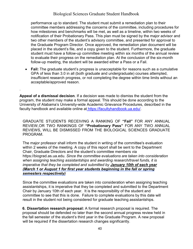#### Biological Sciences Graduate Student Handbook

performance up to standard. The student must submit a remediation plan to their committee members addressing the concerns of the committee, including procedures for how milestones and benchmarks will be met, as well as a timeline, within two weeks of notification of their Probationary Pass. This plan must be signed by the major advisor and two other members of the student's advisory committee, and presented for approval to the Graduate Program Director. Once approved, the remediation plan document will be placed in the student's file, and a copy given to the student. Furthermore, the graduate student must have a follow-up committee meeting within six months of the annual review to evaluate their progress on the remediation plan. At the conclusion of the six-month follow-up meeting, the student will be awarded either a Pass or a Fail.

• **Fail:** The graduate student's progress is unacceptable for reasons such as a cumulative GPA of less than 3.0 in all (both graduate and undergraduate) courses attempted, insufficient research progress, or not completing the degree within time limits without an acceptable/approved reason.

**Appeal of a dismissal decision**. If a decision was made to dismiss the student from the program, the student may make a formal appeal. This should be done according to the University of Alabama's University-wide Academic Grievance Procedures, described in the faculty handbook and available online at [https://facultyhandbook.ua.edu/.](https://facultyhandbook.ua.edu/)

.

GRADUATE STUDENTS RECEIVING A RANKING OF **"Fail"** FOR ANY ANNUAL REVIEW,OR TWO RANKINGS OF **"Probationary Pass"** FOR ANY TWO ANNUAL REVIEWS, WILL BE DISMISSED FROM THE BIOLOGICAL SCIENCES GRADUATE PROGRAM.

The major professor shall inform the student in writing of the committee's evaluation within 2 weeks of the meeting. A copy of this report shall be sent to the Department Chair, Graduate Directors and the student's committee members via https://biograd.as.ua.edu. *Since the committee evaluations are taken into consideration when assigning teaching assistantships and awarding research/travel funds, it is imperative that they be completed and submitted by January 10th of each year (March 1 or August 1 for first year students beginning in the fall or spring semesters respectively)*

Since the committee evaluations are taken into consideration when assigning teaching assistantships, it is imperative that they be completed and submitted to the Department Chair by January 10th of each year. It is the responsibility of the student and committee to see that this is done. Failure to complete evaluations by this date will result in the student not being considered for graduate teaching assistantships.

**6. Dissertation research proposal:** A formal research proposal is required. The proposal should be defended no later than the second annual progress review held in the fall semester of the student's third year in the Graduate Program. A new proposal will be required if the dissertation research changes significantly.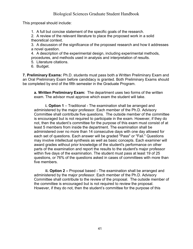#### Biological Sciences Graduate Student Handbook

This proposal should include:

1. A full but concise statement of the specific goals of the research.

2. A review of the relevant literature to place the proposed work in a solid theoretical context.

3. A discussion of the significance of the proposed research and how it addresses a novel question.

4. A description of the experimental design, including experimental methods, procedures, and methods used in analysis and interpretation of results.

5. Literature citations.

6. Budget.

**7. Preliminary Exams:** Ph.D. students must pass both a Written Preliminary Exam and an Oral Preliminary Exam before candidacy is granted. Both Preliminary Exams should be completed by end of the fifth semester in the Graduate Program.

**a. Written Preliminary Exam:** The department uses two forms of the written exam. The advisor must approve which exam the student will take.

**i. Option 1** – Traditional - The examination shall be arranged and administered by the major professor. Each member of the Ph.D. Advisory Committee shall contribute five questions. The outside member of the committee is encouraged but is not required to participate in the exam. However, if they do not, then the student's committee for the purpose of this exam must consist of at least 5 members from inside the department. The examination shall be administered over no more than 14 consecutive days with one day allowed for each set of questions. Each answer will be graded "Pass" or "Fail." Questions may involve intellectual synthesis as well as basic concepts. Each examiner will award grades without prior knowledge of the student's performance on other parts of the examination and report the results to the student's major professor within five days of the examination. The student must pass at least 19 of 25 questions, or 76% of the questions asked in cases of committees with more than five members.

**ii. Option 2 –** Proposal based - The examination shall be arranged and administered by the major professor. Each member of the Ph.D. Advisory Committee shall contribute to the review of the proposal. The outside member of the committee is encouraged but is not required to review the proposal. However, if they do not, then the student's committee for the purpose of this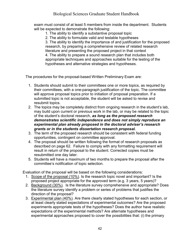exam must consist of at least 5 members from inside the department. Students will be expected to demonstrate the following:

1. The ability to identify a substantive proposal topic

2. The ability to formulate valid and testable hypotheses

3. The ability to identify the importance of and justification for the proposed research, by preparing a comprehensive review of related research literature and presenting the proposed project in that context 4. The ability to prepare a sound research plan that includes both appropriate techniques and approaches suitable for the testing of the hypotheses and alternative strategies and hypotheses.

The procedures for the proposal-based Written Preliminary Exam are:

- 1. Students should submit to their committees one or more topics, as required by their committees, with a one-paragraph justification of the topic. The committee will approve proposal topics prior to initiation of proposal preparation. If a submitted topic is not acceptable, the student will be asked to revise and resubmit topics.
- 2. The topics may be completely distinct from ongoing research in the student's lab, may build upon current or previous work in the lab, or may be related to the topic of the student's doctoral research, *as long as the proposed research demonstrates scientific independence and does not simply reproduce an experimental plan already proposed in the doctoral adviser's research grants or in the students dissertation research proposal.*
- 3. The term of the proposed research should be consistent with federal funding opportunities, contingent on committee approval.
- 4. The proposal should be written following the format of research proposals as described on page 62. Failure to comply with any formatting requirement will result in return of the proposal to the student. Corrected copies must be resubmitted one day later.
- 5. Students will have a maximum of two months to prepare the proposal after the committee's notification of topic selection.

Evaluation of the proposal will be based on the following considerations:

- 1. Scope of the proposal (10%). Is the research topic novel and important? Is the proposed project appropriate for the approved term (e.g. 3 years, 5 years)?
- 2. Background (30%). Is the literature survey comprehensive and appropriate? Does the literature survey identify a problem or series of problems that justifies the direction of the proposal?
- 3. Experimental plan (40%). Are there clearly stated hypotheses for each section, or at least clearly stated expectations of experimental outcomes? Are the proposed experiments appropriate tests of the hypotheses? Does the author have realistic expectations of the experimental methods? Are alternate hypotheses and experimental approaches proposed to cover the possibilities that: (i) the primary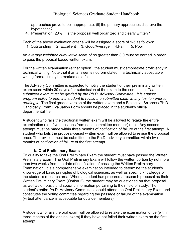approaches prove to be inappropriate, (ii) the primary approaches disprove the hypotheses?

4. Presentation (20%). Is the proposal well organized and clearly written?

Each of the above evaluation criteria will be assigned a score of 1-5 as follows: 1. Outstanding 2. Excellent 3. Good/Average 4.Fair 5. Poor

An *average weighted cumulative score* of no greater than 3.0 must be earned in order to pass the proposal-based written exam.

For the written examination (either option), the student must demonstrate proficiency in technical writing. Note that if an answer is not formulated in a technically acceptable writing format it may be marked as a fail.

The Advisory Committee is expected to notify the student of their preliminary written exam score within 30 days after submission of the exam to the committee. *The submitted exam must be graded by the Ph.D. Advisory Committee. It is against program policy to permit a student to revise the submitted exam in any fashion prior to grading it.* The final graded version of the written exam and a Biological Sciences Ph.D. Candidacy Exam Evaluation Form should be placed in the student's official departmental file.

A student who fails the traditional written exam will be allowed to retake the entire examination (i.e., five questions from each committee member) once. Any second attempt must be made within three months of notification of failure of the first attempt. A student who fails the proposal-based written exam will be allowed to revise the proposal once. The revision must be submitted to the Ph.D. advisory committee within two months of notification of failure of the first attempt.

#### **b. Oral Preliminary Exam:**

To qualify to take the Oral Preliminary Exam the student must have passed the Written Preliminary Exam. The Oral Preliminary Exam will follow the written portion by not more than two weeks from the date of notification of passing the Written Preliminary Examination. It is a comprehensive examination intended to determine the student's knowledge of basic principles of biological sciences, as well as specific knowledge of the student's research area. When a student has prepared a research proposal as their Written Preliminary Exam (Option 2), the student may be questioned on that proposal as well as on basic and specific information pertaining to their field of study. The student's entire Ph.D. Advisory Committee should attend the Oral Preliminary Exam and constitutes the voting committee regarding the passage or failure of the examination (virtual attendance is acceptable for outside members).

A student who fails the oral exam will be allowed to retake the examination once (within three months of the original exam) if they have not failed their written exam on the first attempt.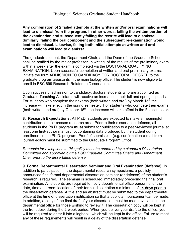**Any combination of 2 failed attempts at the written and/or oral examinations will lead to dismissal from the program. In other words, failing the written portion of the examination and subsequently failing the rewrite will lead to dismissal. Similarly, failing the oral component and the subsequent re-examination would lead to dismissal. Likewise, failing both initial attempts at written and oral examinations will lead to dismissal.**

The graduate student, the Department Chair, and the Dean of the Graduate School shall be notified by the major professor, in writing, of the results of the preliminary exam within a week after the exam is completed via the DOCTORAL QUALIFYING EXAMINATION. Upon successful completion of written and oral preliminary exams, initiate the form ADMISSION TO CANDIDACY FOR DOCTORAL DEGREE to the graduate program assistants in the main biology office. The student is now eligible to enroll in BSC 699 Research Related to Dissertation.

Upon successful admission to candidacy, doctoral students who are appointed as Graduate Teaching Assistants will receive an increase in their fall and spring stipends. For students who complete their exams (both written and oral) by March 15<sup>th</sup> the increase will take effect in the spring semester. For students who compete their exams (both written and oral) by October  $15<sup>th</sup>$ , the increase will take effect in the Fall semester.

**8. Research Expectations:** All Ph.D. students are expected to make a meaningful contribution to their chosen research area. Prior to their dissertation defense, all students in the Ph.D. program **must** submit for publication to a peer-reviewed journal at least one first-author manuscript containing data produced by the student during enrollment in the Ph.D. program. Proof of submission (e.g. confirmation e-mail from journal editor) must be submitted to the Graduate Program Office.

*Requests for exceptions to this policy must be endorsed by a student's Dissertation Committee and approved by the BSC Graduate Committee Chairs and Department Chair prior to the dissertation defense.*

**9. Formal Departmental Dissertation Seminar and Oral Examination (defense):** In addition to participation in the departmental research symposiums, a publicly announced final formal departmental dissertation seminar (or defense) of the student's research is required. The seminar is scheduled immediately preceding the final oral examination. All students are required to notify departmental office personnel of the date, time and room location of their formal dissertation a minimum of 14 days prior to the dissertation defense. A title and an abstract must be submitted to the departmental office at the time of dissertation notification so that a public announcementcan be made. In addition, a copy of the final draft of your dissertation must be made available in the departmental office for those wishing to review it. The dissertation copy will be kept at the front desk during the 2-week period. When you deliver your draft to the office, you will be required to enter it into a logbook, which will be kept in the office. Failure to meet any of these requirements will result in a delay of the dissertation defense.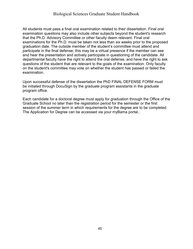All students must pass a final oral examination related to their dissertation. Final oral examination questions may also include other subjects beyond the student's research that the Ph.D. Advisory Committee or other faculty deem relevant. Final oral examinations for the Ph.D. must be taken not less than six weeks prior to the proposed graduation date. The outside member of the student's committee must attend and participate in the final defense; this may be a virtual presence if the member can see and hear the presentation and actively participate in questioning of the candidate. All departmental faculty have the right to attend the oral defense, and have the right to ask questions of the student that are relevant to the goals of the examination. Only faculty on the student's committee may vote on whether the student has passed or failed the examination.

Upon successful defense of the dissertation the PhD FINAL DEFENSE FORM must be initiated through DocuSign by the graduate program assistants in the graduate program office.

Each candidate for a doctoral degree must apply for graduation through the Office of the Graduate School no later than the registration period for the semester or the first session of the summer term in which requirements for the degree are to be completed. The Application for Degree can be accessed via your myBama portal..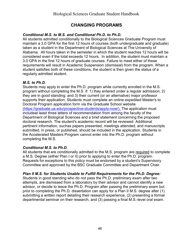#### **CHANGING PROGRAMS**

#### <span id="page-45-0"></span>*Conditional M.S. to M.S. and Conditional Ph.D. to Ph.D.*

All students admitted conditionally to the Biological Sciences Graduate Program must maintain a 3.0 GPA for the first 12 hours of courses (both undergraduate and graduate) taken as a student in the Department of Biological Sciences at The University of Alabama. All hours taken in the semester in which the student reaches 12 hours will be considered even if the total exceeds 12 hours. In addition, the student must maintain a 3.0 GPA in the first 12 hours of graduate courses. Failure to meet either of these requirements will result in Academic Suspension (dismissal) from the program. When a student satisfies both of these conditions, the student is then given the status of a regularly admitted student.

#### *M.S. to Ph.D.*

Students may apply to enter the Ph.D. program while currently enrolled in the M.S. program without completing the M.S. if: 1) they entered under a regular admission; 2) they are in good standing; and 3) their current (or an alternative) major professor supports their application. Students must complete an online expedited Master's to Doctoral Program application form via the Graduate School website [\(https://graduate.ua.edu/prospective-students/apply-now/\). T](https://graduate.ua.edu/prospective-students/apply-now/).)he application must includeat least three letters of recommendation from among the faculty of the Department of Biological Sciences and a brief statement concerning the proposed doctoral research. The student's academic record will be reviewed. Additional pertinent information, suchas papers presented, meetings attended, and manuscripts submitted, in press, or published, should be included in the application. Students in the Accelerated Masters Program cannot enter into the Ph.D. program without completing the M.S.

#### *Conditional M.S. to Ph.D.*

All students that are conditionally admitted to the M.S. program are required to complete a M.S. Degree (either Plan I or II) prior to applying to enter the Ph.D. program. Requests for exceptions to this policy must be endorsed by a student's Supervisory Committee and approved by the BSC Graduate Committee and Department Chair.

#### *Plan II M.S. for Students Unable to Fulfill Requirements for the Ph.D. Degree:*

Students in good standing who do not pass the Ph.D. preliminary exam after two attempts, are dismissed from a laboratory by their advisor and cannot identify a new advisor, or decide to leave the Ph.D. Program after passing the preliminary exam but prior to completing the Ph.D. dissertation can apply for a Plan II M.S. degree after (1) submitting a written report detailing their research experience, (2) presenting a formal departmental seminar on their research, and (3) passing a final M.S.-level oral exam.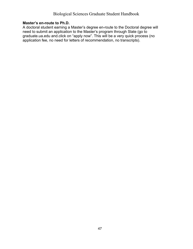#### **Master's en-route to Ph.D.**

A doctoral student earning a Master's degree en-route to the Doctoral degree will need to submit an application to the Master's program through Slate (go to graduate.ua.edu and.click on "apply now". This will be a very quick process (no application fee, no need for letters of recommendation, no transcripts).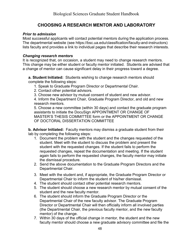#### **CHOOSING A RESEARCH MENTOR AND LABORATORY**

#### <span id="page-47-0"></span>*Prior to admission*

Most successful applicants will contact potential mentors during the application process. The departmental website (see https://bsc.ua.edu/classification/faculty-and-instructors) lists faculty and provides a link to individual pages that describe their research interests.

#### *Changing research mentors*

It is recognized that, on occasion, a student may need to change research mentors. This change may be either student or faculty mentor initiated. Students are advised that a change of mentor can cause significant delay in their progress toward a degree.

**a. Student Initiated:** Students wishing to change research mentors should complete the following steps:

- 1. Speak to Graduate Program Director or Departmental Chair.
- 2. Contact other potential advisors.
- 3. Choose new advisor by mutual consent of student and new advisor.

4. Inform the Department Chair, Graduate Program Director, and old and new research mentors.

5. Choose a new committee (within 30 days) and contact the graduate program assistants to initiate the DocuSign APPOINTMENT OR CHANGE OF MASTER'S THESIS COMMITTEE form or the APPOINTMENT OR CHANGE OF DOCTORAL DISSERTATION COMMITTEE

**b. Advisor Initiated:** Faculty mentors may dismiss a graduate student from their lab by completing the following steps:

- 1. Document the problem with the student and the changes requested of the student. Meet with the student to discuss the problem and present the student with the requested changes. If the student fails to perform the requested changes, repeat the documentation and meeting. If the student again fails to perform the requested changes, the faculty mentor may initiate the dismissal procedure.
- 2. Send the above documentation to the Graduate Program Directors and the Departmental Chair.
- 3. Meet with the student and, if appropriate, the Graduate Program Director or Departmental Chair to inform the student of his/her dismissal.
- 4. The student should contact other potential research mentors.
- 5. The student should choose a new research mentor by mutual consent of the student and the new faculty mentor.
- 6. The student should inform the Graduate Program Director or the Departmental Chair of the new faculty advisor. The Graduate Program Director or Departmental Chair will then officially inform all involved parties (the Departmental Chair, the previous faculty mentor, and the new faculty mentor) of the change.
- 7. Within 30 days of the official change in mentor, the student and the new faculty mentor should choose a new graduate advisory committee and file the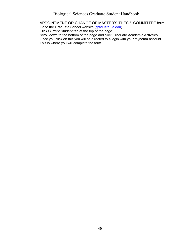Biological Sciences Graduate Student Handbook

APPOINTMENT OR CHANGE OF MASTER'S THESIS COMMITTEE form. . Go to the Graduate School website [\(graduate.ua.edu\)](http://graduate.ua.edu/) Click Current Student tab at the top of the page Scroll down to the bottom of the page and click Graduate Academic Activities Once you click on this you will be directed to a login with your mybama account This is where you will complete the form.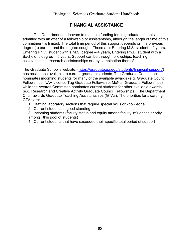#### **FINANCIAL ASSISTANCE**

<span id="page-49-0"></span>The Department endeavors to maintain funding for all graduate students admitted with an offer of a fellowship or assistantship, although the length of time of this commitment is limited. The total time period of this support depends on the previous degree(s) earned and the degree sought. These are: Entering M.S. student – 2 years, Entering Ph.D. student with a M.S. degree – 4 years, Entering Ph.D. student with a Bachelor's degree – 5 years. Support can be through fellowships, teaching assistantships, research assistantships or any combination thereof.

The Graduate School's website: [\(https://graduate.ua.edu/students/financial-support/\)](https://graduate.ua.edu/students/financial-support/) has assistance available to current graduate students. The Graduate Committee nominates incoming students for many of the available awards (e.g. Graduate Council Fellowships, NAA License Tag Graduate Fellowship, McNair Graduate Fellowships) while the Awards Committee nominates current students for other available awards (e.g. Research and Creative Activity Graduate Council Fellowships). The Department Chair awards Graduate Teaching Assistantships (GTAs). The priorities for awarding GTAs are:

- 1. Staffing laboratory sections that require special skills or knowledge
- 2. Current students in good standing
- 3. Incoming students (faculty status and equity among faculty influences priority among this pool of students)
- 4. Current students that have exceeded their specific total period of support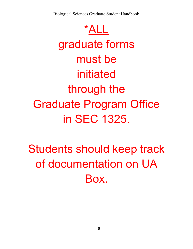Biological Sciences Graduate Student Handbook

\*ALL graduate forms must be initiated through the Graduate Program Office in SEC 1325.

Students should keep track of documentation on UA Box.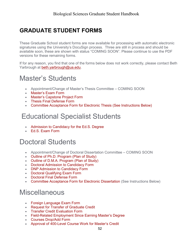## **GRADUATE STUDENT FORMS**

These Graduate School student forms are now available for processing with automatic electronic signatures using the University's DocuSign process. Three are still in process and should be available soon, these are shown with status "COMING SOON". Please continue to use the PDF versions for these remaining forms.

If for any reason, you find that one of the forms below does not work correctly, please contact Beth Yarbrough at [beth.yarbrough@ua.edu.](mailto:beth.yarbrough@ua.edu)

## Master's Students

- Appointment/Change of Master's Thesis Committee COMING SOON
- [Master's Exam Form](https://na2.docusign.net/Member/PowerFormSigning.aspx?PowerFormId=a4d8cea6-ba64-44d4-80b5-f3c05a341a11&env=na2&acct=046ae80d-7495-4a39-a960-9a4b16ff5c0f&v=2)
- [Master's Capstone Project Form](https://na2.docusign.net/Member/PowerFormSigning.aspx?PowerFormId=6b4144f6-5898-4470-ad22-1165f159dd3c&env=na2&acct=046ae80d-7495-4a39-a960-9a4b16ff5c0f&v=2)
- [Thesis Final Defense Form](https://na2.docusign.net/Member/PowerFormSigning.aspx?PowerFormId=d234c6ad-53ab-4e50-a655-48e37815a51b&env=na2&acct=046ae80d-7495-4a39-a960-9a4b16ff5c0f&v=2)
- [Committee Acceptance Form for Electronic Thesis \(See Instructions Below\)](https://na2.docusign.net/Member/PowerFormSigning.aspx?PowerFormId=973f96b9-e7f7-4d2e-9ec2-03e0f3176f04&env=na2&acct=046ae80d-7495-4a39-a960-9a4b16ff5c0f&v=2)

## Educational Specialist Students

- [Admission to Candidacy for the Ed.S. Degree](https://na2.docusign.net/Member/PowerFormSigning.aspx?PowerFormId=cb44b2f0-d176-4978-aeb4-17afe33d1799&env=na2&acct=046ae80d-7495-4a39-a960-9a4b16ff5c0f&v=2)
- [Ed.S. Exam Form](https://na2.docusign.net/Member/PowerFormSigning.aspx?PowerFormId=99445df5-9d89-4968-bb71-24fa36063660&env=na2&acct=046ae80d-7495-4a39-a960-9a4b16ff5c0f&v=2)

## Doctoral Students

- Appointment/Change of Doctoral Dissertation Committee COMING SOON
- [Outline of Ph.D. Program \(Plan of Study\)](https://na2.docusign.net/Member/PowerFormSigning.aspx?PowerFormId=8066ab5a-0cf5-4ab8-9db1-b54a21d9ac5e&env=na2&acct=046ae80d-7495-4a39-a960-9a4b16ff5c0f&v=2)
- [Outline of D.M.A. Program \(Plan of Study\)](https://na2.docusign.net/Member/PowerFormSigning.aspx?PowerFormId=4b8f93ef-8da8-4ffb-bd05-f294101e5aad&env=na2&acct=046ae80d-7495-4a39-a960-9a4b16ff5c0f&v=2)
- [Doctoral Admission](https://na2.docusign.net/Member/PowerFormSigning.aspx?PowerFormId=bf53e859-c6b9-4c41-befc-85e4df439ddf&env=na2&acct=046ae80d-7495-4a39-a960-9a4b16ff5c0f&v=2) to Candidacy Form
- [DNP Admission to Candidacy Form](https://na2.docusign.net/Member/PowerFormSigning.aspx?PowerFormId=8b0c4ac9-02d0-4e63-af2f-b69dbaf167b8&env=na2&acct=046ae80d-7495-4a39-a960-9a4b16ff5c0f&v=2)
- [Doctoral Qualifying Exam Form](https://na2.docusign.net/Member/PowerFormSigning.aspx?PowerFormId=8115f225-56fb-4bce-a704-9624d46a9eb7&env=na2&acct=046ae80d-7495-4a39-a960-9a4b16ff5c0f&v=2)
- [Doctoral Final Defense Form](https://na2.docusign.net/Member/PowerFormSigning.aspx?PowerFormId=7495ea1b-4905-4efa-831f-0138a1cea9c7&env=na2&acct=046ae80d-7495-4a39-a960-9a4b16ff5c0f&v=2)
- [Committee Acceptance Form for Electronic Dissertation](https://na2.docusign.net/Member/PowerFormSigning.aspx?PowerFormId=7a2e7e4f-6f31-4b53-95d7-41fc7303ab44&env=na2&acct=046ae80d-7495-4a39-a960-9a4b16ff5c0f&v=2) (See Instructions Below)

## **Miscellaneous**

- [Foreign Language Exam Form](https://na2.docusign.net/Member/PowerFormSigning.aspx?PowerFormId=f1557c3b-ea78-4ada-a82f-03351001e611&env=na2&acct=046ae80d-7495-4a39-a960-9a4b16ff5c0f&v=2)
- [Request for Transfer of Graduate Credit](https://na2.docusign.net/Member/PowerFormSigning.aspx?PowerFormId=3729e12f-8a5f-4d13-b9f9-fb878bccde51&env=na2&acct=046ae80d-7495-4a39-a960-9a4b16ff5c0f&v=2)
- [Transfer Credit Evaluation Form](https://na2.docusign.net/Member/PowerFormSigning.aspx?PowerFormId=6dcf2b7a-d394-4363-8f8d-c994f44186f0&env=na2&acct=046ae80d-7495-4a39-a960-9a4b16ff5c0f&v=2)
- [Field-Related Employment Since Earning Master's Degree](https://na2.docusign.net/Member/PowerFormSigning.aspx?PowerFormId=6c6423c0-a782-42f0-81a8-d40fa158cf7a&env=na2&acct=046ae80d-7495-4a39-a960-9a4b16ff5c0f&v=2)
- [Courses Drop/Add Form](https://na2.docusign.net/Member/PowerFormSigning.aspx?PowerFormId=222dce78-b070-4a24-ab6f-23089ddffd86&env=na2&acct=046ae80d-7495-4a39-a960-9a4b16ff5c0f&v=2)
- [Approval of 400-Level Course Work for Master's Credit](https://na2.docusign.net/Member/PowerFormSigning.aspx?PowerFormId=86675d1c-2689-4a74-b11c-a38f735b447e&env=na2&acct=046ae80d-7495-4a39-a960-9a4b16ff5c0f&v=2)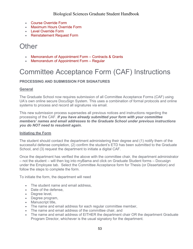- [Course Override Form](https://na2.docusign.net/Member/PowerFormSigning.aspx?PowerFormId=eca1cf9b-5118-4389-b6cd-6877e30f6060&env=na2&acct=046ae80d-7495-4a39-a960-9a4b16ff5c0f&v=2)
- [Maximum Hours Override Form](https://na2.docusign.net/Member/PowerFormSigning.aspx?PowerFormId=b639df08-9e97-4bb7-97a1-b787ff0227e5&env=na2&acct=046ae80d-7495-4a39-a960-9a4b16ff5c0f&v=2)
- [Level Override Form](https://na2.docusign.net/Member/PowerFormSigning.aspx?PowerFormId=31f8c5f0-a84d-41d9-ab89-a965e4c3e7ca&env=na2&acct=046ae80d-7495-4a39-a960-9a4b16ff5c0f&v=2)
- [Reinstatement Request Form](https://na2.docusign.net/Member/PowerFormSigning.aspx?PowerFormId=d079a49e-fc5f-407e-b2b2-9df2197019a6&env=na2&acct=046ae80d-7495-4a39-a960-9a4b16ff5c0f&v=2)

## **Other**

- [Memorandum of Appointment Form –](https://na2.docusign.net/Member/PowerFormSigning.aspx?PowerFormId=cc4168e3-7867-46b8-ac90-9e747e120f9c&env=na2&acct=046ae80d-7495-4a39-a960-9a4b16ff5c0f&v=2) Contracts & Grants
- [Memorandum of Appointment Form –](https://na2.docusign.net/Member/PowerFormSigning.aspx?PowerFormId=a3a240fa-808a-48ae-9c40-20c9b0acd70c&env=na2&acct=046ae80d-7495-4a39-a960-9a4b16ff5c0f&v=2) Regular

## Committee Acceptance Form (CAF) Instructions

#### **PROCESSING AND SUBMISSION FOR SIGNATURES**

#### **General**

The Graduate School now requires submission of all Committee Acceptance Forms (CAF) using UA's own online secure DocuSign System. This uses a combination of formal protocols and online systems to process and record all signatures via email.

This new submission process supersedes all previous notices and instructions regarding the processing of the CAF. *If you have already submitted your form with your committee members' names and email addresses to the Graduate School under previous instructions you do NOT need to resubmit again.*

#### **Initiating the Form**

The student should contact the department administering their degree and (1) notify them of the successful defense completion, (2) confirm the student's ETD has been submitted to the Graduate School, and (3) request the department to initiate a digital CAF.

Once the department has verified the above with the committee chair, the department administrator – not the student – will then log into myBama and click on Graduate Student forms – Docusign under the Employee tab. Select the Committee Acceptance form for Thesis (or Dissertation) and follow the steps to complete the form.

To initiate the form, the department will need

- The student name and email address,
- Date of the defense,
- Degree level,
- Degree program,
- Manuscript title,
- The name and email address for each regular committee member,
- The name and email address of the committee chair, and
- The name and email address of EITHER the department chair OR the department Graduate Program Director, whichever is the usual signatory for the department.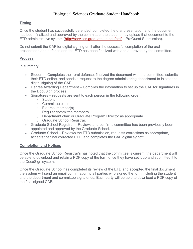#### Biological Sciences Graduate Student Handbook

#### **Timing**

Once the student has successfully defended, completed the oral presentation and the document has been finalized and approved by the committee, the student may upload that document to the ETD administrative system [\(http://services.graduate.ua.edu/etd/](http://services.graduate.ua.edu/etd/) – ProQuest Submission).

Do not submit the CAF for digital signing until after the successful completion of the oral presentation and defense and the ETD has been finalized with and approved by the committee.

#### **Process**

In summary:

- Student Completes their oral defense, finalized the document with the committee, submits their ETD online, and sends a request to the degree administering department to initiate the digital signing of the CAF.
- Degree Awarding Department Complies the information to set up the CAF for signatures in the DocuSign process.
- Signatures requests are sent to each person in the following order:
	- o Student
	- o Committee chair
	- o External member(s)
	- o Regular committee members
	- o Department chair or Graduate Program Director as appropriate
	- o Graduate School Registrar.
- Graduate School Registrar Reviews and confirms committee has been previously been appointed and approved by the Graduate School.
- Graduate School Reviews the ETD submission, requests corrections as appropriate, accepts the final corrected ETD, and completes the CAF digital signoff.

#### **Completion and Notices**

Once the Graduate School Registrar's has noted that the committee is current, the department will be able to download and retain a PDF copy of the form once they have set it up and submitted it to the DocuSign system.

Once the Graduate School has completed its review of the ETD and accepted the final document the system will send an email confirmation to all parties who signed the form including the student and the department and committee signatories. Each party will be able to download a PDF copy of the final signed CAF.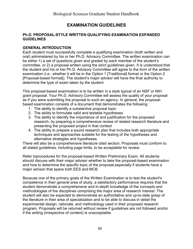#### **EXAMINATION GUIDELINES**

#### <span id="page-54-0"></span>**Ph.D. PROPOSAL-STYLE WRITTEN QUALIFYING EXAMINATION EXPANDED GUIDELINES**

#### **GENERAL INTRODUCTION**

Each student must successfully complete a qualifying examination (both written and oral) administered by his or her Ph.D. Advisory Committee. The written examination can be either 1) a set of questions given and graded by each member of the student's committee, or 2) a proposal written using the strict guidelines given. It is understood that the student and his or her Ph.D. Advisory Committee will agree to the form of the written examination (i.e., whether it will be in the Option 1 [Traditional] format or the Option 2 [Proposal-based format]). The student's major advisor will have the final authority to determine the type of exam taken by the student.

This proposal-based examination is to be written in a style typical of an NSF or NIH grant proposal. Your Ph.D. Advisory Committee will assess the quality of your proposal as if you were submitting the proposal to such an agency. In general, the proposalbased examination consists of a document that demonstrates the following:

- 1. The ability to identify a substantive proposal topic
- 2. The ability to formulate valid and testable hypotheses
- 3. The ability to identify the importance of and justification for the proposed research, by preparing a comprehensive review of related research literature and presenting the proposed project in that context
- 4. The ability to prepare a sound research plan that includes both appropriate techniques and approaches suitable for the testing of the hypotheses and alternative strategies and hypotheses.

There will also be a comprehensive literature cited section. Proposals must conform to all stated guidelines, including page limits, to be acceptable for review.

Refer toprocedures for the proposal-based Written Preliminary Exam. All students should discuss with their major advisor whether to take the proposal-based examination and how to determine the specific topic of the proposal,especially if students have a major advisor that spans both EES and MCB.

Because one of the primary goals of the Written Examination is to test the student's competence in their general area of study, a satisfactory performance requires that the student demonstrate a comprehensive and in-depth knowledge of the concepts and methodologies of the disciplines comprising the major area of research interest. The student will also be expected to demonstrate an authoritative and up-to-date grasp of the literature in their area of specialization and to be able to discuss in detail the experimental design, rationale, and methodology used in their proposed research program. Proposals will be returned without review if guidelines are not followed and/or if the writing (irrespective of content) is unacceptable.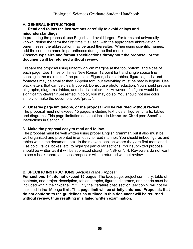#### **A. GENERAL INSTRUCTIONS**

#### 1. **Read and follow the instructions carefully to avoid delays and misunderstandings.**

In preparing the proposal, use English and avoid jargon. For terms not universally known, define the term the first time it is used, with the appropriate abbreviation in parentheses; the abbreviation may be used thereafter. When using scientific names, add the common name in parentheses during the first mention.

#### **Observe type size and format specifications throughout the proposal, or the document will be returned without review.**

Prepare the proposal using uniform 2.5 cm margins at the top, bottom, and sides of each page. Use Times or Times New Roman 12 point font and single space line spacing in the main text of the proposal. Figures, charts, tables, figure legends, and footnotes may be smaller than 12-point font, but everything must be readily legible. Use black letters that can be clearly copied. Do **not** use photo reduction. You should prepare all graphs, diagrams, tables, and charts in black ink. However, if a figure would be significantly clearer if presented in color, you may do so. You should not use color simply to make the document look "pretty".

#### 2. **Observe page limitations, or the proposal will be returned without review.**

The proposal must not exceed 15 pages, including text plus all figures, charts, tables and diagrams. This page limitation does not include **Literature Cited** (see Specific Instructions in Section B).

#### 3. **Make the proposal easy to read and follow.**

The proposal must be well written using proper English grammar, but it also must be well organized and presented in an easy to read manner. You should imbed figures and tables within the document, next to the relevant section where they are first mentioned. Use bold, italics, boxes, etc. to highlight particular sections. Your submitted proposal should be written as if it will be submitted straight to NSF or NIH. Reviewers do not want to see a book report, and such proposals will be returned without review.

#### **B. SPECIFIC INSTRUCTIONS** *Sections of the Proposal*

**For sections 1-4, do not exceed 15 pages.** The face page, project summary, table of contents, and project description, tables, graphs, figures, diagrams, and charts must be included within the 15-page limit. Only the literature cited section (section 5) will not be included in the 15-page limit. **This page limit will be strictly enforced. Proposals that do not conform to the guidelines as outlined in this document will be returned without review, thus resulting in a failed written examination.**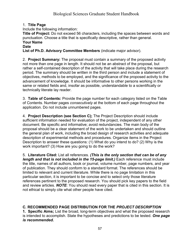#### 1. **Title Page**

Include the following information:

**Title of Project:** Do not exceed 56 characters, including the spaces between words and punctuation. Choose a title that is specifically descriptive, rather than general. **Your Name**

#### **Date**

**List of Ph.D. Advisory Committee Members** (indicate major advisor).

2. **Project Summary:** The proposal must contain a summary of the proposed activity not more than one page in length. It should not be an abstract of the proposal, but rather a self-contained description of the activity that will take place during the research period. The summary should be written in the third person and include a statement of objectives, methods to be employed, and the significance of the proposed activity to the advancement of knowledge. It should be informative to other persons working in the same or related fields and, insofar as possible, understandable to a scientifically or technically literate lay reader.

3. **Table of Contents:** Provide the page number for each category listed on the Table of Contents. Number pages *consecutively* at the bottom of each page throughout the application. Do not include unnumbered pages.

4. **Project Description (see Section C);** The Project Description should include sufficient information needed for evaluation of the project, independent of any other document. Be specific and informative; avoid redundancies. The main body of the proposal should be a clear statement of the work to be undertaken and should outline the general plan of work, including the broad design of research activities and adequate description of experimental methods and procedures. Organize items in the Project Description to answer these questions: (1) What do you intend to do? (2) Why is the work important? (3) How are you going to do the work?

5. **Literature Cited:** List all references. *(This is the only section that can be of any length and that is not included in the 15-page limit.)* Each reference must include the title, names of all authors, book or journal, volume number, page numbers, and year of publication. They should conform to a standard format. The references should be limited to relevant and current literature. While there is no page limitation in this particular section, it is important to be concise and to select only those literature references pertinent to the proposed research. You should pick key papers to the field and review articles. *NOTE*: You should read every paper that is cited in this section. It is not ethical to simply cite what other people have cited.

#### **C. RECOMMENDED PAGE DISTRIBUTION FOR THE** *PROJECT DESCRIPTION*

**1. Specific Aims;** List the broad, long-term objectives and what the proposed research is intended to accomplish. State the hypotheses and predictions to be tested. *One page is recommended.*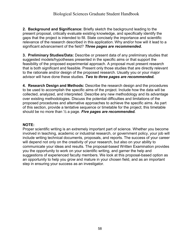**2. Background and Significance:** Briefly sketch the background leading to the present proposal, critically evaluate existing knowledge, and specifically identify the gaps that the project is intended to fill. State concisely the importance and scientific relevance of the research described in this application. Why and/or how will it lead to a significant advancement of the field? *Three pages are recommended.*

**3. Preliminary Studies/Data:** Describe or present data of any preliminary studies that suggested models/hypotheses presented in the specific aims or that support the feasibility of the proposed experimental approach. A proposal must present research that is both significant and feasible. Present only those studies that are directly relevant to the rationale and/or design of the proposed research. Usually you or your major advisor will have done these studies. *Two to three pages are recommended.*

**4. Research Design and Methods:** Describe the research design and the procedures to be used to accomplish the specific aims of the project. Include how the data will be collected, analyzed, and interpreted. Describe any new methodology and its advantage over existing methodologies. Discuss the potential difficulties and limitations of the proposed procedures and alternative approaches to achieve the specific aims. As part of this section, provide a tentative sequence or timetable for the project; this timetable should be no more than ½ a page. *Five pages are recommended.*

#### **NOTE:**

Proper scientific writing is an extremely important part of science. Whether you become involved in teaching, academic or industrial research, or government policy, your job will include writing technical documents, proposals, and reports. The success of your career will depend not only on the creativity of your research, but also on your ability to communicate your ideas and results. The proposal-based Written Examination provides you the opportunity to work on your scientific writing, and garner the help and suggestions of experienced faculty members. We look at this proposal-based option as an opportunity to help you grow and mature in your chosen field, and as an important step in ensuring your success as an investigator.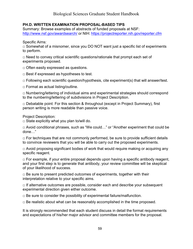#### **PH.D. WRITTEN EXAMINATION PROPOSAL-BASED TIPS**

Summary: Browse examples of abstracts of funded proposals at NSF: <http://www.nsf.gov/awardsearch/> or NIH: <https://projectreporter.nih.gov/reporter.cfm>

Specific Aims:

 $\Box$  Somewhat of a misnomer, since you DO NOT want just a specific list of experiments to perform.

 $\Box$  Need to convey critical scientific questions/rationale that prompt each set of experiments proposed.

□ Often easily expressed as questions.

□ Best if expressed as hypotheses to test.

 $\Box$  Following each scientific question/hypothesis, cite experiment(s) that will answer/test.

 $\Box$  Format as actual listing/outline.

 $\Box$  Numbering/lettering of individual aims and experimental strategies should correspond to the numbering/lettering of subdivisions in Project Description.

□ Debatable point: For this section & throughout (except in Project Summary), first person writing is more readable than passive voice.

Project Description:

 $\square$  State explicitly what you plan to/will do.

□ Avoid conditional phrases, such as "We could..." or "Another experiment that could be done…"

 $\Box$  For techniques that are not commonly performed, be sure to provide sufficient details to convince reviewers that you will be able to carry out the proposed experiments.

 $\Box$  Avoid proposing significant bodies of work that would require making or acquiring any specific reagent.

 $\Box$  For example, if your entire proposal depends upon having a specific antibody reagent, and your first step is to generate that antibody, your review committee will be skeptical of your likelihood of success.

 $\Box$  Be sure to present predicted outcomes of experiments, together with their interpretation relative to your specific aims.

 $\Box$  If alternative outcomes are possible, consider each and describe your subsequent experimental direction given either outcome.

 $\Box$  Be sure to consider the possibility of experimental failure/malfunction.

 $\Box$  Be realistic about what can be reasonably accomplished in the time proposed.

It is strongly recommended that each student discuss in detail the format requirements and expectations of his/her major advisor and committee members for the proposal.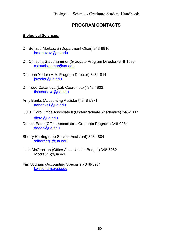#### **PROGRAM CONTACTS**

#### <span id="page-59-0"></span>**Biological Sciences:**

- Dr. Behzad Mortazavi (Department Chair) 348-9810 [bmortazavi@ua.edu](mailto:bmortazavi@ua.edu)
- Dr. Christina Staudhammer (Graduate Program Director) 348-1538 [cstaudhammer@ua.edu](mailto:cstaudhammer@ua.edu)
- Dr. John Yoder (M.A. Program Director) 348-1814 [jhyoder@ua.edu](mailto:jhyoder@ua.edu)
- Dr. Todd Casanova (Lab Coordinator) 348-1802 [tbcasanova@ua.edu](mailto:tbcasanova@ua.edu)
- Amy Banks (Accounting Assistant) 348-5971 [aebanks1@ua.edu](mailto:aebanks1@ua.edu)
- Julia Dioro Office Associate ll (Undergraduate Academics) 348-1807

[dioro@ua.edu](mailto:dioro@ua.edu)

- Debbie Eads (Office Associate Graduate Program) 348-0984 [deads@ua.edu](mailto:deads@ua.edu)
- Sherry Herring (Lab Service Assistant) 348-1804 [sdherring1@ua.edu](mailto:sdherring1@ua.edu)
- Josh McCracken (Office Associate ll Budget) 348-5962 [Mccra016@ua.edu](mailto:vanessa.mcgee@ua.edu)
- Kim Stidham (Accounting Specialist) 348-5961 [kwstidham@ua.edu](mailto:kwstidham@ua.edu)